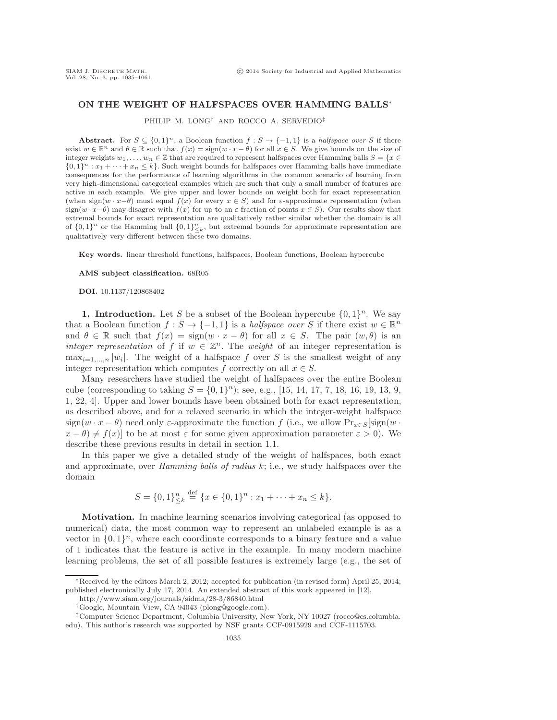## **ON THE WEIGHT OF HALFSPACES OVER HAMMING BALLS**<sup>∗</sup>

PHILIP M. LONG† AND ROCCO A. SERVEDIO‡

**Abstract.** For  $S \subseteq \{0,1\}^n$ , a Boolean function  $f : S \to \{-1,1\}$  is a halfspace over S if there exist  $w \in \mathbb{R}^n$  and  $\theta \in \mathbb{R}$  such that  $f(x) = \text{sign}(w \cdot x - \theta)$  for all  $x \in S$ . We give bounds on the size of integer weights  $w_1,\ldots,w_n\in\mathbb{Z}$  that are required to represent halfspaces over Hamming balls  $S = \{x \in$  $\{0,1\}^n : x_1 + \cdots + x_n \leq k\}$ . Such weight bounds for halfspaces over Hamming balls have immediate consequences for the performance of learning algorithms in the common scenario of learning from very high-dimensional categorical examples which are such that only a small number of features are active in each example. We give upper and lower bounds on weight both for exact representation (when sign(w  $\cdot x-\theta$ ) must equal  $f(x)$  for every  $x \in S$ ) and for  $\varepsilon$ -approximate representation (when sign(w  $\cdot x-\theta$ ) may disagree with  $f(x)$  for up to an  $\varepsilon$  fraction of points  $x \in S$ ). Our results show that extremal bounds for exact representation are qualitatively rather similar whether the domain is all of  $\{0,1\}^n$  or the Hamming ball  $\{0,1\}^n_{\leq k}$ , but extremal bounds for approximate representation are qualitatively very different between these two domains.

**Key words.** linear threshold functions, halfspaces, Boolean functions, Boolean hypercube

**AMS subject classification.** 68R05

**DOI.** 10.1137/120868402

**1. Introduction.** Let S be a subset of the Boolean hypercube  $\{0, 1\}^n$ . We say that a Boolean function  $f : S \to \{-1,1\}$  is a *halfspace over* S if there exist  $w \in \mathbb{R}^n$ and  $\theta \in \mathbb{R}$  such that  $f(x) = \text{sign}(w \cdot x - \theta)$  for all  $x \in S$ . The pair  $(w, \theta)$  is an *integer representation* of f if  $w \in \mathbb{Z}^n$ . The *weight* of an integer representation is  $\max_{i=1,\ldots,n} |w_i|$ . The weight of a halfspace f over S is the smallest weight of any integer representation which computes f correctly on all  $x \in S$ .

Many researchers have studied the weight of halfspaces over the entire Boolean cube (corresponding to taking  $S = \{0, 1\}^n$ ); see, e.g., [\[15,](#page-26-0) [14,](#page-26-1) [17,](#page-26-2) [7,](#page-26-3) [18,](#page-26-4) [16,](#page-26-5) [19,](#page-26-6) [13,](#page-26-7) [9,](#page-26-8) [1,](#page-25-0) [22,](#page-26-9) [4\]](#page-25-1). Upper and lower bounds have been obtained both for exact representation, as described above, and for a relaxed scenario in which the integer-weight halfspace sign(w · x −  $\theta$ ) need only  $\varepsilon$ -approximate the function f (i.e., we allow  $Pr_{x \in S}$ [sign(w ·  $x - \theta$   $\neq f(x)$  to be at most  $\varepsilon$  for some given approximation parameter  $\varepsilon > 0$ . We describe these previous results in detail in section [1.1.](#page-1-0)

In this paper we give a detailed study of the weight of halfspaces, both exact and approximate, over *Hamming balls of radius* k; i.e., we study halfspaces over the domain

$$
S = \{0,1\}_{\leq k}^n \stackrel{\text{def}}{=} \{x \in \{0,1\}^n : x_1 + \cdots + x_n \leq k\}.
$$

**Motivation.** In machine learning scenarios involving categorical (as opposed to numerical) data, the most common way to represent an unlabeled example is as a vector in  $\{0,1\}^n$ , where each coordinate corresponds to a binary feature and a value of 1 indicates that the feature is active in the example. In many modern machine learning problems, the set of all possible features is extremely large (e.g., the set of

<sup>∗</sup>Received by the editors March 2, 2012; accepted for publication (in revised form) April 25, 2014; published electronically July 17, 2014. An extended abstract of this work appeared in [\[12\]](#page-26-10).

<http://www.siam.org/journals/sidma/28-3/86840.html>

<sup>†</sup>Google, Mountain View, CA 94043 [\(plong@google.com\)](mailto:plong@google.com).

<sup>‡</sup>Computer Science Department, Columbia University, New York, NY 10027 [\(rocco@cs.columbia.](mailto:rocco@cs.columbia.edu) [edu\)](mailto:rocco@cs.columbia.edu). This author's research was supported by NSF grants CCF-0915929 and CCF-1115703.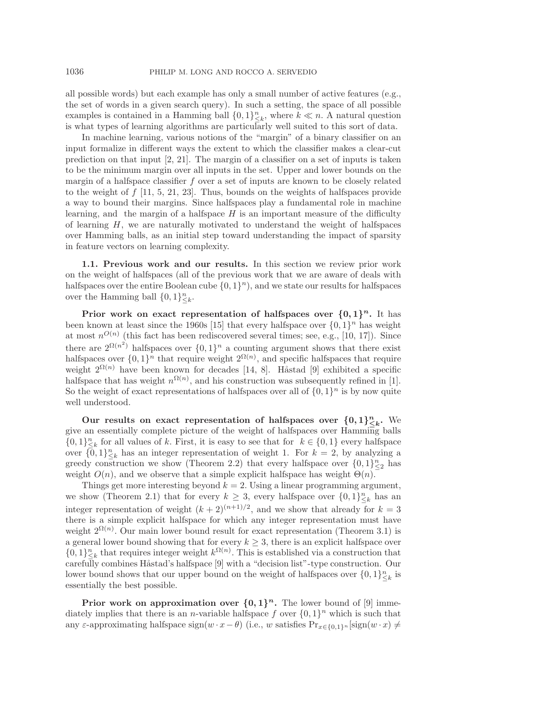all possible words) but each example has only a small number of active features (e.g., the set of words in a given search query). In such a setting, the space of all possible examples is contained in a Hamming ball  $\{0,1\}_{-\kappa}^n$ , where  $k \ll n$ . A natural question<br>is what types of learning algorithms are particularly well suited to this sort of data is what types of learning algorithms are particularly well suited to this sort of data.

In machine learning, various notions of the "margin" of a binary classifier on an input formalize in different ways the extent to which the classifier makes a clear-cut prediction on that input [\[2,](#page-25-2) [21\]](#page-26-11). The margin of a classifier on a set of inputs is taken to be the minimum margin over all inputs in the set. Upper and lower bounds on the margin of a halfspace classifier f over a set of inputs are known to be closely related to the weight of  $f$  [\[11,](#page-26-12) [5,](#page-26-13) [21,](#page-26-11) [23\]](#page-26-14). Thus, bounds on the weights of halfspaces provide a way to bound their margins. Since halfspaces play a fundamental role in machine learning, and the margin of a halfspace  $H$  is an important measure of the difficulty of learning  $H$ , we are naturally motivated to understand the weight of halfspaces over Hamming balls, as an initial step toward understanding the impact of sparsity in feature vectors on learning complexity.

<span id="page-1-0"></span>**1.1. Previous work and our results.** In this section we review prior work on the weight of halfspaces (all of the previous work that we are aware of deals with halfspaces over the entire Boolean cube  $\{0, 1\}^n$ , and we state our results for halfspaces over the Hamming ball  $\{0,1\}_{\leq k}^n$ .

**Prior work on exact representation of halfspaces over**  $\{0,1\}^n$ **.** It has been known at least since the 1960s [\[15\]](#page-26-0) that every halfspace over  $\{0,1\}^n$  has weight at most  $n^{O(n)}$  (this fact has been rediscovered several times; see, e.g., [\[10,](#page-26-15) [17\]](#page-26-2)). Since there are  $2^{\Omega(n^2)}$  halfspaces over  $\{0,1\}^n$  a counting argument shows that there exist<br>halfspaces over  $\{0,1\}^n$  that require weight  $2^{\Omega(n)}$  and specific halfspaces that require halfspaces over  $\{0,1\}^n$  that require weight  $2^{\Omega(n)}$ , and specific halfspaces that require weight  $2^{\Omega(n)}$  have been known for decades [14, 8]. Hastad [9] exhibited a specific weight  $2^{\Omega(n)}$  have been known for decades [\[14,](#page-26-1) [8\]](#page-26-16). Håstad [\[9\]](#page-26-8) exhibited a specific halfspace that has weight  $n^{\Omega(n)}$ , and his construction was subsequently refined in [\[1\]](#page-25-0).<br>So the weight of exact representations of halfspaces over all of  $I(0,1)^n$  is by now quite So the weight of exact representations of halfspaces over all of  $\{0, 1\}^n$  is by now quite well understood.

Our results on exact representation of halfspaces over  $\{0,1\}_{\leq k}^n$ . We give an essentially complete picture of the weight of halfspaces over Hamming balls  $\{0,1\}_{k=0}^n$  for all values of k. First, it is easy to see that for  $k \in \{0,1\}$  every halfspace<br>over  $\overline{0,1}$  l<sup>n</sup> has an integer representation of weight 1. For  $k=2$  by analyzing a over  $\{0,1\}_{-\kappa}^n$  has an integer representation of weight 1. For  $k=2$ , by analyzing a greedy construction we show (Theorem 2.2) that every halfspace over  $\{0,1\}^n$  has greedy construction we show (Theorem [2.2\)](#page-4-0) that every halfspace over  $\{0,1\}_{\leq 2}^n$  has weight  $O(n)$ , and we observe that a simple explicit halfspace has weight  $\Theta(n)$ .

Things get more interesting beyond  $k = 2$ . Using a linear programming argument, we show (Theorem [2.1\)](#page-3-0) that for every  $k \geq 3$ , every halfspace over  $\{0,1\}_{\leq k}^n$  has an integration of maintain  $(k+2)(n+1)/2$  and we also that also be far  $k = 3$ integer representation of weight  $(k+2)^{(n+1)/2}$ , and we show that already for  $k = 3$ <br>there is a simple explicit halfspace for which any integer representation must have there is a simple explicit halfspace for which any integer representation must have weight  $2^{\Omega(n)}$ . Our main lower bound result for exact representation (Theorem 3.1) is . Our main lower bound result for exact representation (Theorem [3.1\)](#page-8-0) is<br>seen bound showing that for every  $k > 3$  there is an explicit halfspace over a general lower bound showing that for every  $k \geq 3$ , there is an explicit halfspace over<br> $\Omega(1)^n$  that requires integer weight  $k^{\Omega(n)}$ . This is established via a construction that  $\{0,1\}_{\leq k}^n$  that requires integer weight  $k^{\Omega(n)}$ . This is established via a construction that carefully combines Hastad's halfspace [9] with a "decision list"-type construction. Our carefully combines Håstad's halfspace [\[9\]](#page-26-8) with a "decision list"-type construction. Our lower bound shows that our upper bound on the weight of halfspaces over  $\{0,1\}_{\leq k}^n$  is essentially the best possible essentially the best possible.

**Prior work on approximation over**  $\{0,1\}^n$ **.** The lower bound of [\[9\]](#page-26-8) immediately implies that there is an *n*-variable halfspace f over  $\{0,1\}^n$  which is such that any ε-approximating halfspace  $sign(w \cdot x - \theta)$  (i.e., w satisfies  $Pr_{x \in \{0,1\}^n} [sign(w \cdot x) \neq$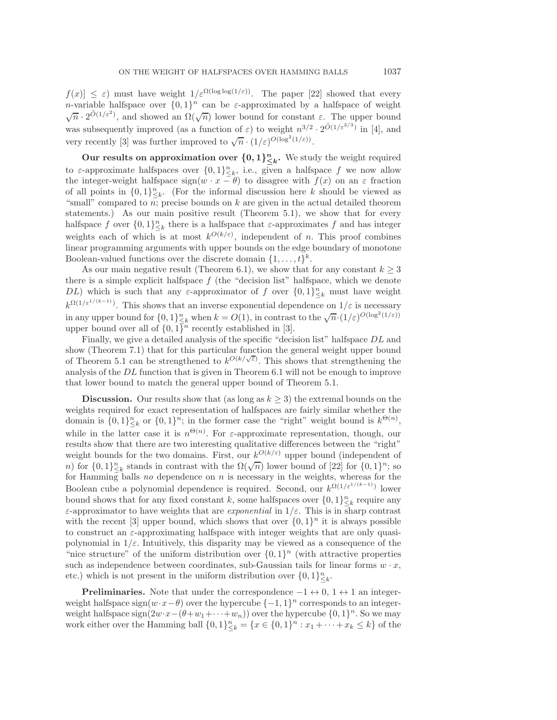$f(x) \leq \varepsilon$ ) must have weight  $1/\varepsilon^{\Omega(\log \log(1/\varepsilon))}$ . The paper [\[22\]](#page-26-9) showed that every n-variable halfspace over  $\{0,1\}^n$  can be  $\varepsilon$ -approximated by a halfspace of weight  $\sqrt{n} \cdot 2^{\tilde{O}(1/\varepsilon^2)}$ , and showed an  $\Omega(\sqrt{n})$  lower bound for constant  $\varepsilon$ . The upper bound was subsequently improved (as a function of  $\varepsilon$ ) to weight  $n^{3/2} \cdot 2^{\tilde{O}(1/\varepsilon^{2/3})}$  in [\[4\]](#page-25-1), and very recently [\[3\]](#page-25-3) was further improved to  $\sqrt{n} \cdot (1/\varepsilon)^{O(\log^2(1/\varepsilon))}$ .

**Our results on approximation over**  $\{0, 1\}^n_{\leq k}$ **.** We study the weight required to  $\varepsilon$ -approximate halfspaces over  $\{0,1\}_{\leq k}^n$ , i.e., given a halfspace f we now allow<br>the integer-weight halfspace sign(w,  $x = \theta$ ) to disagree with  $f(x)$  on an  $\varepsilon$  fraction the integer-weight halfspace  $sign(w \cdot x - \theta)$  to disagree with  $f(x)$  on an  $\varepsilon$  fraction of all points in  $\{0,1\}_{\leq k}^n$ . (For the informal discussion here k should be viewed as<br>"small" compared to us precise bounds on k are given in the actual detailed theorem "small" compared to  $n$ ; precise bounds on  $k$  are given in the actual detailed theorem statements.) As our main positive result (Theorem [5.1\)](#page-14-0), we show that for every halfspace f over  $\{0,1\}_{\leq k}^n$  there is a halfspace that  $\varepsilon$ -approximates f and has integer weights each of which is at most  $k^{O(k/\varepsilon)}$ , independent of n. This proof combines linear programming arguments with upper bounds on the edge boundary of monotone Boolean-valued functions over the discrete domain  $\{1,\ldots,t\}^k$ .

As our main negative result (Theorem [6.1\)](#page-17-0), we show that for any constant  $k \geq 3$ there is a simple explicit halfspace  $f$  (the "decision list" halfspace, which we denote DL) which is such that any  $\varepsilon$ -approximator of f over  $\{0,1\}_{\leq k}^n$  must have weight  $k^{\Omega(1/\varepsilon^{1/(k-1)})}$ . This shows that an inverse exponential dependence on  $1/\varepsilon$  is necessary in any upper bound for  $\{0,1\}_{\leq k}^n$  when  $k = O(1)$ , in contrast to the  $\sqrt{n} \cdot (1/\varepsilon)^{O(\log^2(1/\varepsilon))}$ <br>upper bound over all of  $f(0,1)$ <sup>n</sup> recently established in [3] upper bound over all of  $\{0,1\}^n$  recently established in [\[3\]](#page-25-3).

Finally, we give a detailed analysis of the specific "decision list" halfspace  $DL$  and show (Theorem [7.1\)](#page-23-0) that for this particular function the general weight upper bound of Theorem [5.1](#page-14-0) can be strengthened to  $k^{O(k/\sqrt{\varepsilon})}$ . This shows that strengthening the<br>analysis of the *DL* function that is given in Theorem 6.1 will not be enough to improve analysis of the DL function that is given in Theorem [6.1](#page-17-0) will not be enough to improve that lower bound to match the general upper bound of Theorem [5.1.](#page-14-0)

**Discussion.** Our results show that (as long as  $k \geq 3$ ) the extremal bounds on the weights required for exact representation of halfspaces are fairly similar whether the domain is  $\{0,1\}_{\leq k}^n$  or  $\{0,1\}^n$ ; in the former case the "right" weight bound is  $k^{\Theta(n)}$ , while in the latter case it is  $n^{\Theta(n)}$ . For  $\varepsilon$ -approximate representation, though, our results show that there are two interesting qualitative differences between the "right" results show that there are two interesting qualitative differences between the "right" weight bounds for the two domains. First, our  $k^{O(k/\varepsilon)}$  upper bound (independent of weight bounds for the two domains. First, our  $\kappa$  and  $\kappa$  is upper bound (independent of n) for  $\{0,1\}^n_{\leq k}$  stands in contrast with the  $\Omega(\sqrt{n})$  lower bound of [\[22\]](#page-26-9) for  $\{0,1\}^n$ ; so for Hamming balls no depen for Hamming balls *no* dependence on n is necessary in the weights, whereas for the Boolean cube a polynomial dependence is required. Second, our  $k^{\Omega(1/\varepsilon^{1/(k-1)})}$  lower bound shows that for any fixed constant k, some halfspaces over  $\{0,1\}_{\leq k}^n$  require any<br>separator to have weights that are exponential in  $1/\varepsilon$ . This is in sharp contrast  $\varepsilon$ -approximator to have weights that are *exponential* in  $1/\varepsilon$ . This is in sharp contrast with the recent [\[3\]](#page-25-3) upper bound, which shows that over  $\{0, 1\}^n$  it is always possible to construct an  $\varepsilon$ -approximating halfspace with integer weights that are only quasipolynomial in  $1/\varepsilon$ . Intuitively, this disparity may be viewed as a consequence of the "nice structure" of the uniform distribution over  $\{0, 1\}^n$  (with attractive properties such as independence between coordinates, sub-Gaussian tails for linear forms  $w \cdot x$ , etc.) which is not present in the uniform distribution over  $\{0,1\}_{\leq k}^n$ .

**Preliminaries.** Note that under the correspondence  $-1 \leftrightarrow 0$ ,  $1 \leftrightarrow 1$  an integerweight halfspace sign( $w \cdot x - \theta$ ) over the hypercube  $\{-1, 1\}^n$  corresponds to an integerweight halfspace  $sign(2w \cdot x-(\theta+w_1+\cdots+w_n))$  over the hypercube  $\{0,1\}^n$ . So we may work either over the Hamming ball  $\{0,1\}_{\leq k}^n = \{x \in \{0,1\}^n : x_1 + \cdots + x_k \leq k\}$  of the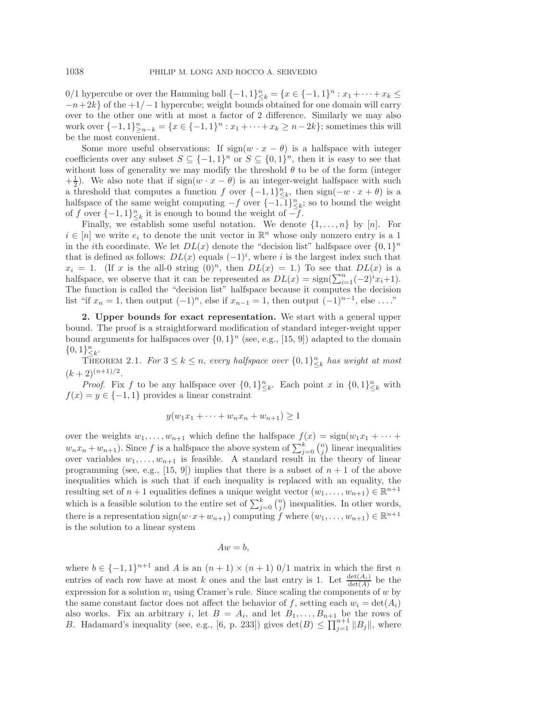0/1 hypercube or over the Hamming ball  $\{-1,1\}_{-\infty}^n = \{x \in \{-1,1\}^n : x_1 + \cdots + x_k \le$ <br> $-n+2k$  of the  $+1/-1$  hypercube; weight bounds obtained for one domain will carry  $-n+2k$  of the  $+1/-1$  hypercube; weight bounds obtained for one domain will carry over to the other one with at most a factor of 2 difference. Similarly we may also work over  $\{-1,1\}_{\geq n-k}^n = \{x \in \{-1,1\}^n : x_1 + \cdots + x_k \geq n-2k\}$ ; sometimes this will be the most convenient.

Some more useful observations: If  $sign(w \cdot x - \theta)$  is a halfspace with integer coefficients over any subset  $S \subseteq \{-1,1\}^n$  or  $S \subseteq \{0,1\}^n$ , then it is easy to see that without loss of generality we may modify the threshold  $\theta$  to be of the form (integer  $+\frac{1}{2}$ ). We also note that if sign( $w \cdot x - \theta$ ) is an integer-weight halfspace with such a threshold that computes a function f over  $f = 1, 1$ <sup>n</sup> then  $\sin(-w \cdot x + \theta)$  is a a threshold that computes a function f over  $\{-1,1\}_{\leq k}^n$ , then  $sign(-w \cdot x + \theta)$  is a halfspace of the same weight computing  $-f$  over  $f=1,1$ <sup>n</sup>  $\cdot$  so to bound the weight halfspace of the same weight computing  $-f$  over  $\{-1,1\}^n_{\leq k}$ ; so to bound the weight of  $f$  over  $f-1,1\}^n$  it is enough to bound the weight of  $-f$ of f over  $\{-1,1\}_{\leq k}^n$  it is enough to bound the weight of  $-f$ .<br>Finally we establish some useful notation. We denote

Finally, we establish some useful notation. We denote  $\{1,\ldots,n\}$  by  $[n]$ . For  $i \in [n]$  we write  $e_i$  to denote the unit vector in  $\mathbb{R}^n$  whose only nonzero entry is a 1 in the *i*th coordinate. We let  $DL(x)$  denote the "decision list" halfspace over  $\{0, 1\}^n$ that is defined as follows:  $DL(x)$  equals  $(-1)^i$ , where i is the largest index such that  $x_i = 1$  (If x is the all-0 string  $(0)^n$  then  $DL(x) = 1$ ) To see that  $DL(x)$  is a  $x_i = 1$ . (If x is the all-0 string  $(0)^n$ , then  $DL(x) = 1$ .) To see that  $DL(x)$  is a halfspace, we observe that it can be represented as  $DL(x) = sign(\sum_{i=1}^{n}(-2)^{i}x_{i}+1)$ .<br>The function is called the "decision list" halfspace because it computes the decision The function is called the "decision list" halfspace because it computes the decision list "if  $x_n = 1$ , then output  $(-1)^n$ , else if  $x_{n-1} = 1$ , then output  $(-1)^{n-1}$ , else ...."

**2. Upper bounds for exact representation.** We start with a general upper bound. The proof is a straightforward modification of standard integer-weight upper bound arguments for halfspaces over  $\{0,1\}^n$  (see, e.g., [\[15,](#page-26-0) [9\]](#page-26-8)) adapted to the domain  $\{0,1\}_{k=1}^n$ .

<span id="page-3-0"></span>THEOREM 2.1. For  $3 \leq k \leq n$ , *every halfspace over*  $\{0,1\}_{\leq k}^n$  *has weight at most*<br>  $\Omega(n+1)/2$  $(k+2)^{(n+1)/2}$ .

*Proof.* Fix f to be any halfspace over  $\{0,1\}_{\leq k}^n$ . Each point x in  $\{0,1\}_{\leq k}^n$  with  $f(x) = y \in \{-1, 1\}$  provides a linear constraint

$$
y(w_1x_1 + \dots + w_nx_n + w_{n+1}) \ge 1
$$

over the weights  $w_1, \ldots, w_{n+1}$  which define the halfspace  $f(x) = \text{sign}(w_1x_1 + \cdots +$  $w_n x_n + w_{n+1}$ ). Since f is a halfspace the above system of  $\sum_{j=0}^k {n \choose j}$  linear inequalities<br>over variables  $w_n = w_{n+1}$  is fassible. A standard result in the theory of linear over variables  $w_1, \ldots, w_{n+1}$  is feasible. A standard result in the theory of linear programming (see, e.g., [\[15,](#page-26-0) [9\]](#page-26-8)) implies that there is a subset of  $n + 1$  of the above inequalities which is such that if each inequality is replaced with an equality, the resulting set of  $n+1$  equalities defines a unique weight vector  $(w_1,\ldots,w_{n+1}) \in \mathbb{R}^{n+1}$ which is a feasible solution to the entire set of  $\sum_{j=0}^{k} \binom{n}{j}$  inequalities. In other words, there is a representation sign( $w \cdot x + w_{n+1}$ ) computing f where  $(w_1, \ldots, w_{n+1}) \in \mathbb{R}^{n+1}$ is the solution to a linear system

 $Aw = b$ .

where  $b \in \{-1,1\}^{n+1}$  and A is an  $(n+1) \times (n+1)$  0/1 matrix in which the first n entries of each row have at most k ones and the last entry is 1. Let  $\frac{\det(A_i)}{\det(A)}$  be the expression for a solution  $w_i$  using Cramer's rule. Since sociar the components of  $w_i$  by expression for a solution  $w_i$  using Cramer's rule. Since scaling the components of w by the same constant factor does not affect the behavior of f, setting each  $w_i = \det(A_i)$ also works. Fix an arbitrary i, let  $B = A_i$ , and let  $B_1, \ldots, B_{n+1}$  be the rows of B. Hadamard's inequality (see, e.g., [\[6,](#page-26-17) p. 233]) gives  $\det(B) \le \prod_{j=1}^{n+1} ||B_j||$ , where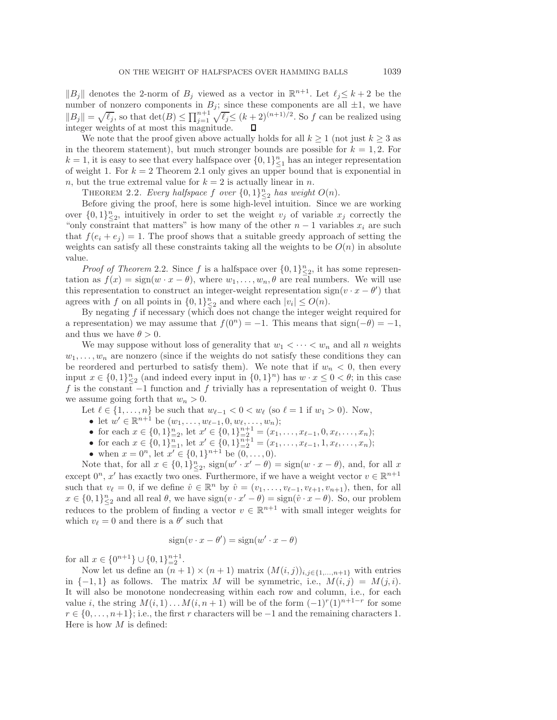$||B_j||$  denotes the 2-norm of  $B_j$  viewed as a vector in  $\mathbb{R}^{n+1}$ . Let  $\ell_j \leq k+2$  be the number of nonzero components in  $B_j$ ; since these components are all  $\pm 1$ , we have  $||B_j|| = \sqrt{\ell_j}$ , so that  $\det(B) \le \prod_{j=1}^{n+1} \sqrt{\ell_j} \le (k+2)^{(n+1)/2}$ . So f can be realized using integer weights of at most this magnitude.

We note that the proof given above actually holds for all  $k \geq 1$  (not just  $k \geq 3$  as in the theorem statement), but much stronger bounds are possible for  $k = 1, 2$ . For  $k = 1$ , it is easy to see that every halfspace over  $\{0, 1\}_{\geq 1}^n$  has an integer representation<br>of weight 1. For  $k = 2$  Theorem 2.1 only gives an upper bound that is exponential in of weight 1. For  $k = 2$  Theorem [2.1](#page-3-0) only gives an upper bound that is exponential in n, but the true extremal value for  $k = 2$  is actually linear in n.

<span id="page-4-0"></span>THEOREM 2.2. *Every halfspace* f *over*  $\{0,1\}_{\infty}^n$  *has weight*  $O(n)$ .<br>Before giving the proof here is some high-level intuition. Since

Before giving the proof, here is some high-level intuition. Since we are working over  $\{0,1\}_{\infty}^n$ , intuitively in order to set the weight  $v_j$  of variable  $x_j$  correctly the "only constraint that matters" is how many of the other  $n-1$  variables  $x_j$  are such "only constraint that matters" is how many of the other  $n-1$  variables  $x_i$  are such that  $f(e_i + e_j) = 1$ . The proof shows that a suitable greedy approach of setting the weights can satisfy all these constraints taking all the weights to be  $O(n)$  in absolute value.

*Proof of Theorem* [2.2.](#page-4-0) Since f is a halfspace over  $\{0,1\}_{\infty}^n$ , it has some represen-<br>on as  $f(x) = \sin(w, x - \theta)$ , where  $w_i = w_i - \theta$  are real numbers. We will use tation as  $f(x) = \text{sign}(w \cdot x - \theta)$ , where  $w_1, \ldots, w_n, \theta$  are real numbers. We will use this representation to construct an integer-weight representation sign( $v \cdot x - \theta'$ ) that agrees with f on all points in  $\{0,1\}_{\leq 2}^n$  and where each  $|v_i| \leq O(n)$ .<br>By negating f if necessary (which does not change the integer v

By negating  $f$  if necessary (which does not change the integer weight required for a representation) we may assume that  $f(0^n) = -1$ . This means that  $sign(-\theta) = -1$ , and thus we have  $\theta > 0$ .

We may suppose without loss of generality that  $w_1 < \cdots < w_n$  and all n weights  $w_1, \ldots, w_n$  are nonzero (since if the weights do not satisfy these conditions they can be reordered and perturbed to satisfy them). We note that if  $w_n < 0$ , then every input  $x \in \{0,1\}_{\leq 2}^n$  (and indeed every input in  $\{0,1\}^n$ ) has  $w \cdot x \leq 0 < \theta$ ; in this case f is the constant  $-1$  function and f trivially has a representation of weight 0. Thus f is the constant  $-1$  function and f trivially has a representation of weight 0. Thus we assume going forth that  $w_n > 0$ .<br>Let  $\ell \in \{1, ..., n\}$  be such that  $w_{\ell-1} < 0 < w_{\ell}$  (so  $\ell = 1$  if  $w_1 > 0$ ). Now,

Let  $\ell \in \{1,\ldots,n\}$  be such that  $w_{\ell-1} < 0 < w_{\ell}$  (so  $\ell = 1$  if  $w_1 > 0$ ). Now,

- let  $w' \in \mathbb{R}^{n+1}$  be  $(w_1, \ldots, w_{\ell-1}, 0, w_{\ell}, \ldots, w_n);$ <br>• for each  $r \in \{0, 1\}^n$ , let  $x' \in \{0, 1\}^{n+1} (x, \ldots, x)$
- for each  $x \in \{0,1\}_{n=2}^n$ , let  $x' \in \{0,1\}_{n=2}^{n+1} = (x_1,\ldots,x_{\ell-1},0,x_\ell,\ldots,x_n);$ <br>• for each  $x \in \{0,1\}_{n=1}^n$  let  $x' \in \{0,1\}_{n=1}^{n+1} = (x_1,\ldots,x_{\ell-1},1,x_\ell,\ldots,x_n);$
- for each  $x \in \{0,1\}_{n=1}^n$ , let  $x' \in \{0,1\}_{n=1}^{n+1} = (x_1,\ldots,x_{\ell-1},1,x_\ell,\ldots,x_n);$ <br>
 when  $x = 0^n$  let  $x' \in \{0,1\}_{n=1}^{n+1}$  be  $(0, 0)$
- when  $x = 0^n$ , let  $x' \in \{0, 1\}^{n+1}$  be  $(0, \ldots, 0)$ .<br>
ote that for all  $x \in I_0$  1  $\lambda^n$  sign(w',  $x' = \theta$ ).

Note that, for all  $x \in \{0,1\}_{\leq 2}^n$ ,  $sign(w' \cdot x' - \theta) = sign(w \cdot x - \theta)$ , and, for all x<br>ont  $\theta^n$ ,  $x'$  has quantly two once. Eurthermore, if we have a weight vector  $y \in \mathbb{R}^{n+1}$ except  $0^n$ , x' has exactly two ones. Furthermore, if we have a weight vector  $v \in \mathbb{R}^{n+1}$ such that  $v_{\ell} = 0$ , if we define  $\hat{v} \in \mathbb{R}^n$  by  $\hat{v} = (v_1, \ldots, v_{\ell-1}, v_{\ell+1}, v_{n+1})$ , then, for all  $x \in \{0,1\}_{\leq 2}^n$  and all real  $\theta$ , we have  $sign(v \cdot x' - \theta) = sign(\hat{v} \cdot x - \theta)$ . So, our problem reduces to the problem of finding a vector  $v \in \mathbb{R}^{n+1}$  with small integer weights for which  $v_{\ell} = 0$  and there is a  $\theta'$  such that

$$
sign(v \cdot x - \theta') = sign(w' \cdot x - \theta)
$$

for all  $x \in \{0^{n+1}\} \cup \{0, 1\}_{n=2}^{n+1}$ .<br>Now let us define an  $(n+1)$ 

Now let us define an  $(n + 1) \times (n + 1)$  matrix  $(M(i, j))_{i,j\in\{1,\ldots,n+1\}}$  with entries in  $\{-1, 1\}$  as follows. The matrix M will be symmetric, i.e.,  $M(i, j) = M(j, i)$ . It will also be monotone nondecreasing within each row and column, i.e., for each value i, the string  $M(i, 1) \ldots M(i, n + 1)$  will be of the form  $(-1)^{r}(1)^{n+1-r}$  for some  $r \in \{0, \ldots, n+1\}$ ; i.e., the first r characters will be  $-1$  and the remaining characters 1. Here is how  $M$  is defined: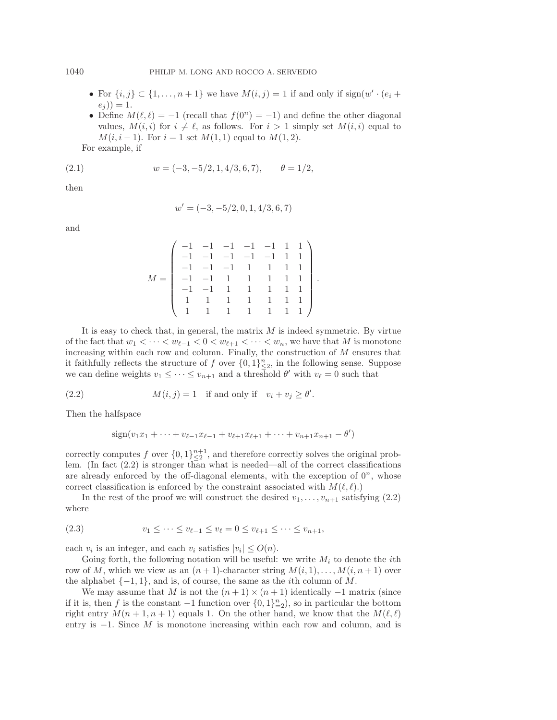- For  $\{i, j\} \subset \{1, \ldots, n + 1\}$  we have  $M(i, j) = 1$  if and only if  $sign(w' \cdot (e_i +$  $(e_j)) = 1.$
- <span id="page-5-1"></span>• Define  $M(\ell, \ell) = -1$  (recall that  $f(0^n) = -1$ ) and define the other diagonal values,  $M(i, i)$  for  $i \neq \ell$ , as follows. For  $i > 1$  simply set  $M(i, i)$  equal to  $M(i, i - 1)$ . For  $i = 1$  set  $M(1, 1)$  equal to  $M(1, 2)$ .

For example, if

(2.1) 
$$
w = (-3, -5/2, 1, 4/3, 6, 7), \qquad \theta = 1/2,
$$

then

<span id="page-5-0"></span>
$$
w' = (-3, -5/2, 0, 1, 4/3, 6, 7)
$$

and

$$
M = \begin{pmatrix} -1 & -1 & -1 & -1 & -1 & 1 & 1 \\ -1 & -1 & -1 & -1 & -1 & 1 & 1 & 1 \\ -1 & -1 & -1 & 1 & 1 & 1 & 1 & 1 \\ -1 & -1 & 1 & 1 & 1 & 1 & 1 & 1 \\ -1 & -1 & 1 & 1 & 1 & 1 & 1 & 1 \\ 1 & 1 & 1 & 1 & 1 & 1 & 1 & 1 \end{pmatrix}
$$

It is easy to check that, in general, the matrix  $M$  is indeed symmetric. By virtue of the fact that  $w_1 < \cdots < w_{\ell-1} < 0 < w_{\ell+1} < \cdots < w_n$ , we have that M is monotone increasing within each row and column. Finally, the construction of M ensures that it faithfully reflects the structure of f over  $\{0,1\}_{\leq 2}^n$ , in the following sense. Suppose<br>we can define weights  $v_i \leq \ldots \leq v_{i-1}$  and a threshold  $\theta'$  with  $v_i = 0$  such that we can define weights  $v_1 \leq \cdots \leq v_{n+1}$  and a threshold  $\theta'$  with  $v_{\ell} = 0$  such that

(2.2) 
$$
M(i,j) = 1 \text{ if and only if } v_i + v_j \ge \theta'
$$

Then the halfspace

$$
sign(v_1x_1 + \dots + v_{\ell-1}x_{\ell-1} + v_{\ell+1}x_{\ell+1} + \dots + v_{n+1}x_{n+1} - \theta')
$$

correctly computes f over  $\{0,1\}_{\leq 2}^{n+1}$ , and therefore correctly solves the original prob-<br>lem (In fact (2.2) is stronger than what is needed—all of the correct classifications lem. (In fact [\(2.2\)](#page-5-0) is stronger than what is needed—all of the correct classifications are already enforced by the off-diagonal elements, with the exception of  $0^n$ , whose correct classification is enforced by the constraint associated with  $M(\ell, \ell)$ .

<span id="page-5-2"></span>In the rest of the proof we will construct the desired  $v_1,\ldots,v_{n+1}$  satisfying [\(2.2\)](#page-5-0) where

(2.3) 
$$
v_1 \leq \cdots \leq v_{\ell-1} \leq v_{\ell} = 0 \leq v_{\ell+1} \leq \cdots \leq v_{n+1},
$$

each  $v_i$  is an integer, and each  $v_i$  satisfies  $|v_i| \leq O(n)$ .

Going forth, the following notation will be useful: we write  $M_i$  to denote the *i*th row of M, which we view as an  $(n + 1)$ -character string  $M(i, 1),...,M(i, n + 1)$  over the alphabet  $\{-1, 1\}$ , and is, of course, the same as the *i*th column of M.

We may assume that M is not the  $(n+1) \times (n+1)$  identically  $-1$  matrix (since if it is, then f is the constant  $-1$  function over  $\{0,1\}_{n=2}^n$ , so in particular the bottom<br>right entry  $M(n+1,n+1)$  equals 1. On the other hand, we know that the  $M(\ell,\ell)$ right entry  $M(n + 1, n + 1)$  equals 1. On the other hand, we know that the  $M(\ell, \ell)$ entry is  $-1$ . Since M is monotone increasing within each row and column, and is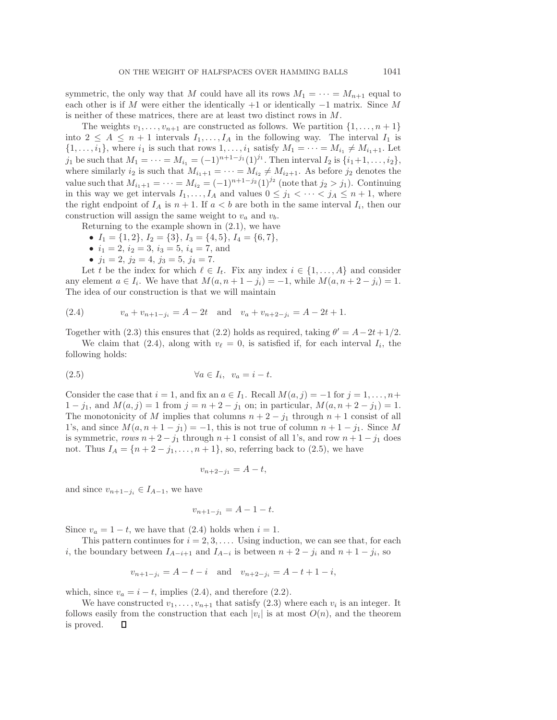symmetric, the only way that M could have all its rows  $M_1 = \cdots = M_{n+1}$  equal to each other is if M were either the identically  $+1$  or identically  $-1$  matrix. Since M is neither of these matrices, there are at least two distinct rows in M.

The weights  $v_1, \ldots, v_{n+1}$  are constructed as follows. We partition  $\{1, \ldots, n+1\}$ into  $2 \leq A \leq n+1$  intervals  $I_1, \ldots, I_A$  in the following way. The interval  $I_1$  is  $\{1,\ldots,i_1\}$ , where  $i_1$  is such that rows  $1,\ldots,i_1$  satisfy  $M_1 = \cdots = M_{i_1} \neq M_{i_1+1}$ . Let j<sub>1</sub> be such that  $M_1 = \cdots = M_{i_1} = (-1)^{n+1-j_1} (1)^{j_1}$ . Then interval  $I_2$  is  $\{i_1+1,\ldots,i_2\}$ , where similarly  $i_2$  is such that  $M_{i_1+1} = \cdots = M_{i_2} \neq M_{i_2+1}$ . As before  $j_2$  denotes the value such that  $M_{i_1+1} = \cdots = M_{i_2} = (-1)^{n+1-j_2} (1)^{j_2}$  (note that  $j_2 > j_1$ ). Continuing in this way we get intervals  $I_1, \ldots, I_A$  and values  $0 \leq j_1 < \cdots < j_A \leq n+1$ , where the right endpoint of  $I_A$  is  $n + 1$ . If  $a < b$  are both in the same interval  $I_i$ , then our construction will assign the same weight to  $v_a$  and  $v_b$ .

Returning to the example shown in [\(2.1\)](#page-5-1), we have

- $I_1 = \{1, 2\}, I_2 = \{3\}, I_3 = \{4, 5\}, I_4 = \{6, 7\},$
- $i_1 = 2, i_2 = 3, i_3 = 5, i_4 = 7,$  and
- <span id="page-6-0"></span>•  $j_1 = 2, j_2 = 4, j_3 = 5, j_4 = 7.$

Let t be the index for which  $\ell \in I_t$ . Fix any index  $i \in \{1, ..., A\}$  and consider any element  $a \in I_i$ . We have that  $M(a, n+1-j_i) = -1$ , while  $M(a, n+2-j_i) = 1$ . The idea of our construction is that we will maintain

(2.4) 
$$
v_a + v_{n+1-j_i} = A - 2t \text{ and } v_a + v_{n+2-j_i} = A - 2t + 1.
$$

Together with [\(2.3\)](#page-5-2) this ensures that [\(2.2\)](#page-5-0) holds as required, taking  $\theta' = A - 2t + 1/2$ .

<span id="page-6-1"></span>We claim that [\(2.4\)](#page-6-0), along with  $v_{\ell} = 0$ , is satisfied if, for each interval  $I_i$ , the following holds:

(2.5) 
$$
\forall a \in I_i, \ v_a = i - t.
$$

Consider the case that  $i = 1$ , and fix an  $a \in I_1$ . Recall  $M(a, j) = -1$  for  $j = 1, \ldots, n+1$  $1 - j_1$ , and  $M(a, j) = 1$  from  $j = n + 2 - j_1$  on; in particular,  $M(a, n + 2 - j_1) = 1$ . The monotonicity of M implies that columns  $n + 2 - j_1$  through  $n + 1$  consist of all 1's, and since  $M(a, n + 1 - j_1) = -1$ , this is not true of column  $n + 1 - j_1$ . Since M is symmetric, *rows*  $n + 2 - j_1$  through  $n + 1$  consist of all 1's, and row  $n + 1 - j_1$  does not. Thus  $I_A = \{n+2-j_1,\ldots,n+1\}$ , so, referring back to [\(2.5\)](#page-6-1), we have

$$
v_{n+2-j_1} = A - t,
$$

and since  $v_{n+1-j_i} \in I_{A-1}$ , we have

$$
v_{n+1-j_1} = A - 1 - t.
$$

Since  $v_a = 1 - t$ , we have that [\(2.4\)](#page-6-0) holds when  $i = 1$ .

This pattern continues for  $i = 2, 3, \ldots$ . Using induction, we can see that, for each i, the boundary between  $I_{A-i+1}$  and  $I_{A-i}$  is between  $n+2-j_i$  and  $n+1-j_i$ , so

$$
v_{n+1-j_i} = A - t - i
$$
 and  $v_{n+2-j_i} = A - t + 1 - i$ ,

which, since  $v_a = i - t$ , implies [\(2.4\)](#page-6-0), and therefore [\(2.2\)](#page-5-0).

We have constructed  $v_1,\ldots,v_{n+1}$  that satisfy [\(2.3\)](#page-5-2) where each  $v_i$  is an integer. It follows easily from the construction that each  $|v_i|$  is at most  $O(n)$ , and the theorem is proved. is proved.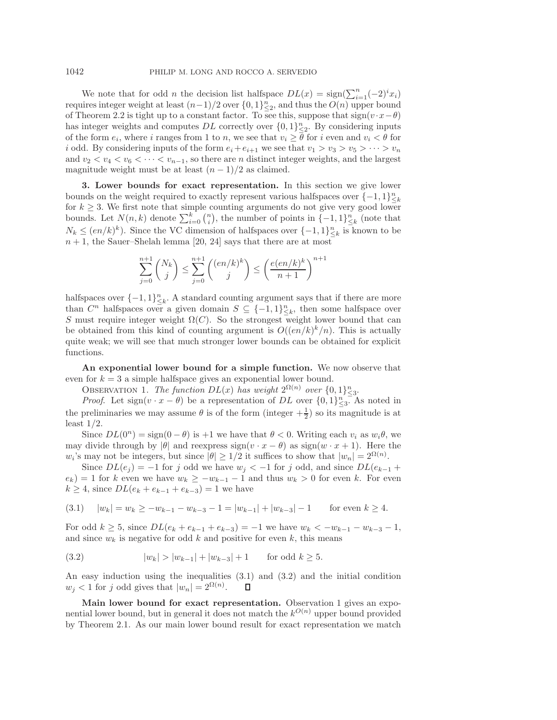We note that for odd *n* the decision list halfspace  $DL(x) = sign(\sum_{i=1}^{n} (-2)^{i}x_{i})$ <br>gives integer weight at least  $(n-1)/2$  over  $\{0, 1\}^{n}$  and thus the  $O(n)$  upper bound requires integer weight at least  $(n-1)/2$  over  $\{0,1\}_{\infty}^n$  and thus the  $O(n)$  upper bound<br>of Theorem 2.2 is tight up to a constant factor. To see this, suppose that  $\sin(n \cdot x - \theta)$ of Theorem [2.2](#page-4-0) is tight up to a constant factor. To see this, suppose that  $sign(v \cdot x - \theta)$ has integer weights and computes DL correctly over  $\{0,1\}_{\leq 2}^n$ . By considering inputs of the form  $e_1$ , where i ranges from 1 to n, we see that  $v_1 > \overline{\theta}$  for i even and  $v_1 < \theta$  for of the form  $e_i$ , where i ranges from 1 to n, we see that  $v_i \geq \overline{\theta}$  for i even and  $v_i < \theta$  for i odd. By considering inputs of the form  $e_i+e_{i+1}$  we see that  $v_1 > v_3 > v_5 > \cdots > v_n$ and  $v_2 < v_4 < v_6 < \cdots < v_{n-1}$ , so there are *n* distinct integer weights, and the largest magnitude weight must be at least  $(n-1)/2$  as claimed.

**3. Lower bounds for exact representation.** In this section we give lower bounds on the weight required to exactly represent various halfspaces over  $\{-1,1\}_{\leq k}^n$ <br>for  $k > 3$ , We first note that simple counting arguments do not give very good lower for  $k \geq 3$ . We first note that simple counting arguments do not give very good lower bounds. Let  $N(n, k)$  denote  $\sum_{i=0}^{k} {n \choose i}$ , the number of points in  $\{-1, 1\}_{i \leq k}^{n}$  (note that  $N_k \leq (en/k)^k$ . Since the VC dimension of halfspaces over  $\{-1,1\}_{\leq k}^n$  is known to be  $n+1$  the Sauer-Shelah lemma [20, 24] says that there are at most  $n+1$ , the Sauer–Shelah lemma [\[20,](#page-26-18) [24\]](#page-26-19) says that there are at most

$$
\sum_{j=0}^{n+1} \binom{N_k}{j} \le \sum_{j=0}^{n+1} \binom{(en/k)^k}{j} \le \left(\frac{e(en/k)^k}{n+1}\right)^{n+1}
$$

halfspaces over  $\{-1,1\}_{\leq k}^n$ . A standard counting argument says that if there are more<br>than  $C^n$  halfspaces over a given domain  $S \subseteq \{-1,1\}^n$  then some halfspace over than  $C^n$  halfspaces over a given domain  $S \subseteq \{-1,1\}_{\leq k}^n$ , then some halfspace over  $S$  must require integer weight  $O(C)$ . So the strongest weight lower bound that can S must require integer weight  $\Omega(C)$ . So the strongest weight lower bound that can be obtained from this kind of counting argument is  $O((en/k)^k/n)$ . This is actually quite weak; we will see that much stronger lower bounds can be obtained for explicit functions.

<span id="page-7-2"></span>**An exponential lower bound for a simple function.** We now observe that even for  $k = 3$  a simple halfspace gives an exponential lower bound.

OBSERVATION 1. *The function*  $DL(x)$  *has weight*  $2^{\Omega(n)}$  *over*  $\{0,1\}_{\leq 3}^n$ .

 $Proof.$  Let  $sign(v \cdot x - \theta)$  be a representation of DL over  $\{0,1\}_{\leq 3}^n$ . As noted in the preliminaries we may assume  $\theta$  is of the form (integer  $+\frac{1}{2}$ ) so its magnitude is at least  $1/2$ least  $1/2$ .

Since  $DL(0^n) = sign(0 - \theta)$  is +1 we have that  $\theta < 0$ . Writing each  $v_i$  as  $w_i\theta$ , we may divide through by  $|\theta|$  and reexpress sign( $v \cdot x - \theta$ ) as sign( $w \cdot x + 1$ ). Here the  $w_i$ 's may not be integers, but since  $|\theta| \ge 1/2$  it suffices to show that  $|w_n| = 2^{\Omega(n)}$ .

Since  $DL(e_j) = -1$  for j odd we have  $w_j < -1$  for j odd, and since  $DL(e_{k-1} +$  $e_k$ ) = 1 for k even we have  $w_k \ge -w_{k-1} - 1$  and thus  $w_k > 0$  for even k. For even  $k \geq 4$ , since  $DL(e_k + e_{k-1} + e_{k-3}) = 1$  we have

<span id="page-7-0"></span>
$$
(3.1) \quad |w_k| = w_k \ge -w_{k-1} - w_{k-3} - 1 = |w_{k-1}| + |w_{k-3}| - 1 \quad \text{for even } k \ge 4.
$$

For odd  $k \geq 5$ , since  $DL(e_k + e_{k-1} + e_{k-3}) = -1$  we have  $w_k < -w_{k-1} - w_{k-3} - 1$ , and since  $w_k$  is negative for odd k and positive for even k, this means

<span id="page-7-1"></span>(3.2) 
$$
|w_k| > |w_{k-1}| + |w_{k-3}| + 1
$$
 for odd  $k \ge 5$ .

An easy induction using the inequalities [\(3.1\)](#page-7-0) and [\(3.2\)](#page-7-1) and the initial condition  $w_j < 1$  for j odd gives that  $|w_n| = 2^{\Omega(n)}$ . п

**Main lower bound for exact representation.** Observation [1](#page-7-2) gives an exponential lower bound, but in general it does not match the  $k^{O(n)}$  upper bound provided by Theorem [2.1.](#page-3-0) As our main lower bound result for exact representation we match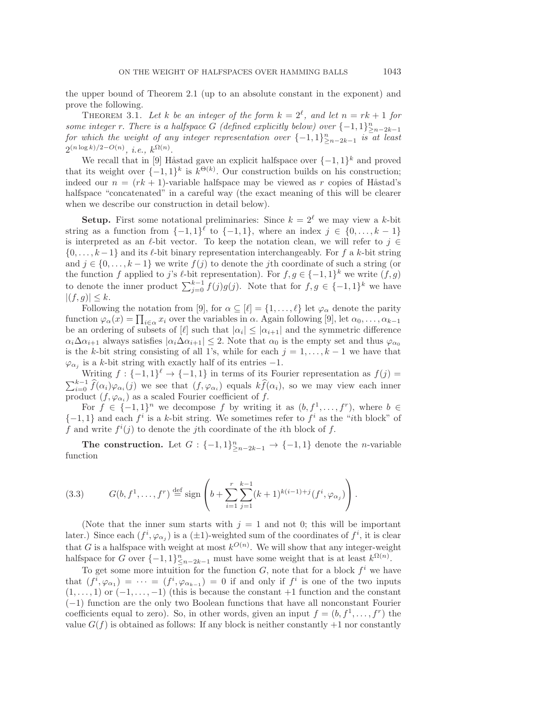<span id="page-8-0"></span>the upper bound of Theorem [2.1](#page-3-0) (up to an absolute constant in the exponent) and prove the following.

THEOREM 3.1. Let k be an integer of the form  $k = 2^{\ell}$ , and let  $n = rk + 1$  for *some integer* r. *There is a halfspace* G *(defined explicitly below) over*  $\{-1,1\}^n_{\geq n-2k-1}$ <br>for which the weight of any integer representation over  $\{-1,1\}^n$  is at least *for which the weight of any integer representation over*  $\{-1,1\}_{\geq n-2k-1}^n$  *is* at least  $\Omega(n\log k)/2-O(n)$  *i.*  $1,\Omega(n)$  $2^{(n \log k)/2 - O(n)}, i.e., k^{\Omega(n)}.$ 

We recall that in [\[9\]](#page-26-8) Håstad gave an explicit halfspace over  $\{-1,1\}^k$  and proved<br>its weight over  $\{-1,1\}^k$  is  $k^{\Theta(k)}$ . Our construction builds on his construction: that its weight over  $\{-1,1\}^k$  is  $k^{\Theta(k)}$ . Our construction builds on his construction; indeed our  $n = (rk + 1)$ -variable halfspace may be viewed as r copies of Håstad's halfspace "concatenated" in a careful way (the exact meaning of this will be clearer when we describe our construction in detail below).

**Setup.** First some notational preliminaries: Since  $k = 2^{\ell}$  we may view a k-bit string as a function from  $\{-1,1\}^{\ell}$  to  $\{-1,1\}$ , where an index  $j \in \{0,\ldots,k-1\}$ is interpreted as an  $\ell$ -bit vector. To keep the notation clean, we will refer to  $j \in \mathbb{Z}$  $\{0,\ldots,k-1\}$  and its  $\ell$ -bit binary representation interchangeably. For f a k-bit string and  $j \in \{0, \ldots, k-1\}$  we write  $f(j)$  to denote the jth coordinate of such a string (or the function f applied to j's  $\ell$ -bit representation). For  $f, g \in \{-1, 1\}^k$  we write  $(f, g)$  to denote the inner product  $\sum_{j=0}^{k-1} f(j)g(j)$ . Note that for  $f, g \in \{-1, 1\}^k$  we have  $|(f,g)| \leq k.$ 

Following the notation from [\[9\]](#page-26-8), for  $\alpha \subseteq [\ell] = \{1, \ldots, \ell\}$  let  $\varphi_{\alpha}$  denote the parity function  $\varphi_{\alpha}(x) = \prod_{i \in \alpha} x_i$  over the variables in  $\alpha$ . Again following [\[9\]](#page-26-8), let  $\alpha_0, \ldots, \alpha_{k-1}$ <br>be an ordering of subsets of [0] such that  $|\alpha_k| \leq |\alpha_{k+1}|$  and the symmetric difference be an ordering of subsets of [ $\ell$ ] such that  $|\alpha_i| \leq |\alpha_{i+1}|$  and the symmetric difference  $\alpha_i\Delta\alpha_{i+1}$  always satisfies  $|\alpha_i\Delta\alpha_{i+1}| \leq 2$ . Note that  $\alpha_0$  is the empty set and thus  $\varphi_{\alpha_0}$ is the k-bit string consisting of all 1's, while for each  $j = 1, \ldots, k - 1$  we have that  $\varphi_{\alpha_i}$  is a k-bit string with exactly half of its entries -1.

Writing  $f: \{-1,1\}^{\ell} \to \{-1,1\}$  in terms of its Fourier representation as  $f(j)$  $\sum_{i=0}^{k-1} \hat{f}(\alpha_i) \varphi_{\alpha_i}(j)$  we see that  $(f, \varphi_{\alpha_i})$  equals  $k \hat{f}(\alpha_i)$ , so we may view each inner product  $(f, \varphi_{\alpha_i})$  as a scaled Fourier coefficient of f.

For  $f \in \{-1,1\}^n$  we decompose f by writing it as  $(b, f^1, \ldots, f^r)$ , where  $b \in$  $\{-1,1\}$  and each  $f^i$  is a k-bit string. We sometimes refer to  $f^i$  as the "ith block" of f and write  $f^{i}(j)$  to denote the j<sup>th</sup> coordinate of the *i*<sup>th</sup> block of f.

<span id="page-8-1"></span>**The construction.** Let  $G: \{-1,1\}_{\geq n-2k-1}^n \to \{-1,1\}$  denote the *n*-variable tion function

(3.3) 
$$
G(b, f^{1}, \ldots, f^{r}) \stackrel{\text{def}}{=} \text{sign}\left(b + \sum_{i=1}^{r} \sum_{j=1}^{k-1} (k+1)^{k(i-1)+j} (f^{i}, \varphi_{\alpha_{j}})\right).
$$

(Note that the inner sum starts with  $j = 1$  and not 0; this will be important later.) Since each  $(f^i, \varphi_{\alpha_j})$  is a  $(\pm 1)$ -weighted sum of the coordinates of  $f^i$ , it is clear<br>that C is a halfspace with weight at most  $h^{O(n)}$ . We will show that any integer weight that G is a halfspace with weight at most  $k^{O(n)}$ . We will show that any integer-weight halfspace for G over  $f = 1, 1, 1, n$  must have some weight that is at least  $k^{\Omega(n)}$ halfspace for G over  $\{-1,1\}_{\leq n-2k-1}^n$  must have some weight that is at least  $k^{\Omega(n)}$ .<br>To get some more intuition for the function G note that for a block  $f_i$  are block

To get some more intuition for the function G, note that for a block  $f^i$  we have that  $(f^i, \varphi_{\alpha_1}) = \cdots = (f^i, \varphi_{\alpha_{k-1}}) = 0$  if and only if  $f^i$  is one of the two inputs (1) or  $(-1, -1)$  (this is because the constant  $+1$  function and the constant  $(1,\ldots,1)$  or  $(-1,\ldots,-1)$  (this is because the constant +1 function and the constant (−1) function are the only two Boolean functions that have all nonconstant Fourier coefficients equal to zero). So, in other words, given an input  $f = (b, f^1, \ldots, f^r)$  the value  $G(f)$  is obtained as follows: If any block is neither constantly  $+1$  nor constantly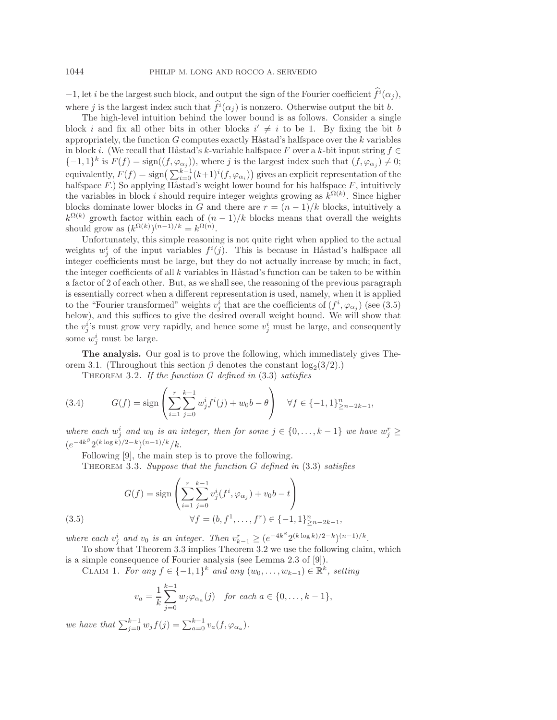−1, let *i* be the largest such block, and output the sign of the Fourier coefficient  $\hat{f}^i(\alpha_i)$ , where j is the largest index such that  $\hat{f}^i(\alpha_i)$  is nonzero. Otherwise output the bit b.

The high-level intuition behind the lower bound is as follows. Consider a single block i and fix all other bits in other blocks  $i' \neq i$  to be 1. By fixing the bit b<br>appropriately the function G computes exactly Hastad's halfspace over the k variables appropriately, the function  $G$  computes exactly Håstad's halfspace over the  $k$  variables in block i. (We recall that Håstad's k-variable halfspace F over a k-bit input string  $f \in$  ${-1, 1}^k$  is  $F(f) = \text{sign}((f, \varphi_{\alpha_i}))$ , where j is the largest index such that  $(f, \varphi_{\alpha_i}) \neq 0$ ; equivalently,  $F(f) = \text{sign}\left(\sum_{i=0}^{k-1} (k+1)^i (f, \varphi_{\alpha_i})\right)$  gives an explicit representation of the halfspace  $F$ . So applying  $H^{\text{stack}}$  over the lower bound for his halfspace  $F$  intuitively halfspace  $F$ .) So applying Håstad's weight lower bound for his halfspace  $F$ , intuitively the variables in block i should require integer weights growing as  $k^{\Omega(k)}$ . Since higher blocks dominate lower blocks in G and there are  $r = (n-1)/k$  blocks, intuitively a  $k^{\Omega(k)}$  growth factor within each of  $(n-1)/k$  blocks means that overall the weights should grow as  $(k^{\Omega(k)})^{(n-1)/k} = k^{\Omega(n)}$ .<br>Infortunately this simple reasoning

Unfortunately, this simple reasoning is not quite right when applied to the actual weights  $w_j^i$  of the input variables  $f^i(j)$ . This is because in Håstad's halfspace all<br>integer coefficients must be large but they do not actually increase by much; in fact integer coefficients must be large, but they do not actually increase by much; in fact, the integer coefficients of all  $k$  variables in Håstad's function can be taken to be within a factor of 2 of each other. But, as we shall see, the reasoning of the previous paragraph is essentially correct when a different representation is used, namely, when it is applied to the "Fourier transformed" weights  $v_j^i$  that are the coefficients of  $(f^i, \varphi_{\alpha_j})$  (see [\(3.5\)](#page-9-0) helow) and this suffices to give the desired overall weight bound. We will show that below), and this suffices to give the desired overall weight bound. We will show that the  $v_j^i$ 's must grow very rapidly, and hence some  $v_j^i$  must be large, and consequently some  $w_j^i$  must be large.

<span id="page-9-2"></span>**The analysis.** Our goal is to prove the following, which immediately gives The-orem [3.1.](#page-8-0) (Throughout this section  $\beta$  denotes the constant log<sub>2</sub>(3/2).)

<span id="page-9-3"></span>Theorem 3.2. *If the function* G *defined in* [\(3.3\)](#page-8-1) *satisfies*

(3.4) 
$$
G(f) = \text{sign}\left(\sum_{i=1}^{r} \sum_{j=0}^{k-1} w_j^{i} f^{i}(j) + w_0 b - \theta\right) \quad \forall f \in \{-1, 1\}_{\geq n-2k-1}^{n},
$$

*where each*  $w_j^i$  *and*  $w_0$  *is an integer, then for some*  $j \in \{0, \ldots, k-1\}$  *we have*  $w_j^r \ge$  $(e^{-4k^{\beta}} 2^{(k \log k)/2-k})^{(n-1)/k}/k.$ <br>Following [0] the main st

<span id="page-9-1"></span>Following [\[9\]](#page-26-8), the main step is to prove the following.

<span id="page-9-0"></span>Theorem 3.3. *Suppose that the function* G *defined in* [\(3.3\)](#page-8-1) *satisfies*

(3.5) 
$$
G(f) = \text{sign}\left(\sum_{i=1}^{r} \sum_{j=0}^{k-1} v_j^i(f^i, \varphi_{\alpha_j}) + v_0 b - t\right) \forall f = (b, f^1, \dots, f^r) \in \{-1, 1\}_{\geq n-2k-1}^n,
$$

*where each*  $v_j^i$  *and*  $v_0$  *is an integer. Then*  $v_{k-1}^r \ge (e^{-4k^{\beta}} 2^{(k \log k)/2-k})^{(n-1)/k}$ .<br>To show that Theorem 3.3 implies Theorem 3.2 we use the following claim

To show that Theorem [3.3](#page-9-1) implies Theorem [3.2](#page-9-2) we use the following claim, which is a simple consequence of Fourier analysis (see Lemma 2.3 of [\[9\]](#page-26-8)).

CLAIM 1. For any  $f \in \{-1,1\}^k$  and any  $(w_0,\ldots,w_{k-1}) \in \mathbb{R}^k$ , setting

<span id="page-9-4"></span>
$$
v_a = \frac{1}{k} \sum_{j=0}^{k-1} w_j \varphi_{\alpha_a}(j) \text{ for each } a \in \{0, \dots, k-1\},\
$$

*we have that*  $\sum_{j=0}^{k-1} w_j f(j) = \sum_{a=0}^{k-1} v_a(f, \varphi_{\alpha_a}).$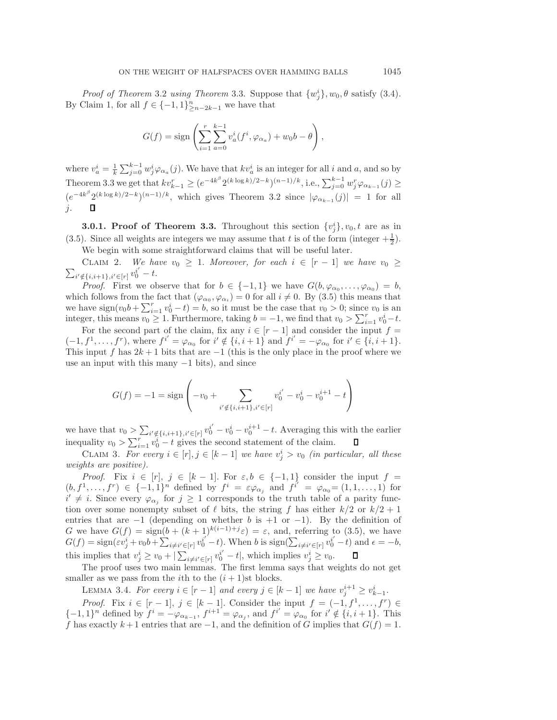*Proof of Theorem* [3.2](#page-9-2) *using Theorem* [3.3.](#page-9-1) Suppose that  $\{w_j^i\}$ ,  $w_0$ ,  $\theta$  satisfy [\(3.4\)](#page-9-3).<br>Claim 1 for all  $f \in I-1$  11<sup>n</sup> we have that By Claim [1,](#page-9-4) for all  $f \in \{-1,1\}_{\geq n-2k-1}^n$  we have that

$$
G(f) = sign\left(\sum_{i=1}^r \sum_{a=0}^{k-1} v_a^i(f^i, \varphi_{\alpha_a}) + w_0 b - \theta\right),\,
$$

where  $v_a^i = \frac{1}{k} \sum_{j=0}^{k-1} w_j^i \varphi_{\alpha_a}(j)$ . We have that  $kv_a^i$  is an integer for all i and a, and so by Theorem [3.3](#page-9-1) we get that  $kv_{k-1}^r \ge (e^{-4k^{\beta}} 2^{(k \log k)/2-k})^{(n-1)/k}$ , i.e.,  $\sum_{j=0}^{k-1} w_j^r \varphi_{\alpha_{k-1}}(j) \ge (e^{-4k^{\beta}} 2^{(k \log k)/2-k})^{(n-1)/k}$  $(e^{-4k^{\beta}} 2^{(k \log k)/2-k})^{(n-1)/k}$ , which gives Theorem [3.2](#page-9-2) since  $|\varphi_{\alpha_{k-1}}(j)| = 1$  for all  $j = 1$ j.

**3.0.1. Proof of Theorem [3.3.](#page-9-1)** Throughout this section  $\{v_j^i\}$ ,  $v_0$ ,  $t$  are as in [\(3.5\)](#page-9-0). Since all weights are integers we may assume that t is of the form (integer  $+\frac{1}{2}$ ).<br>We have with some straightforward claims that will be useful later We begin with some straightforward claims that will be useful later.

<span id="page-10-0"></span> $\sum_{i' \notin \{i,i+1\}, i' \in [r]} v_0^{i'} - t.$ CLAIM 2. *We have*  $v_0 \geq 1$ . *Moreover, for each*  $i \in [r-1]$  *we have*  $v_0 \geq$ 

*Proof.* First we observe that for  $b \in \{-1,1\}$  we have  $G(b,\varphi_{\alpha_0},\ldots,\varphi_{\alpha_0})=b$ , which follows from the fact that  $(\varphi_{\alpha_0}, \varphi_{\alpha_i}) = 0$  for all  $i \neq 0$ . By [\(3.5\)](#page-9-0) this means that we have  $sign(v_0b + \sum_{i=1}^r v_0^i - t) = b$ , so it must be the case that  $v_0 > 0$ ; since  $v_0$  is an integer this means  $v_0 > 1$ . Eurthermore, taking  $b = -1$ , we find that  $v_0 > \sum_{i=1}^r v_i^i - t$ integer, this means  $v_0 \geq 1$ . Furthermore, taking  $b = -1$ , we find that  $v_0 > \sum_{i=1}^r v_0^i - t$ .<br>For the good part of the claim, fix any  $i \in [r-1]$  and consider the input  $f =$ 

For the second part of the claim, fix any  $i \in [r-1]$  and consider the input  $f =$  $(-1, f<sup>1</sup>, \ldots, f<sup>r</sup>)$ , where  $f<sup>i'</sup> = \varphi_{\alpha_0}$  for  $i' \notin \{i, i + 1\}$  and  $f<sup>i'</sup> = -\varphi_{\alpha_0}$  for  $i' \in \{i, i + 1\}$ .<br>This input f has  $2k + 1$  bits that are  $-1$  (this is the only place in the proof where we This input f has  $2k+1$  bits that are  $-1$  (this is the only place in the proof where we use an input with this many  $-1$  bits), and since

$$
G(f) = -1 = \text{sign}\left(-v_0 + \sum_{i' \notin \{i, i+1\}, i' \in [r]} v_0^{i'} - v_0^i - v_0^{i+1} - t\right)
$$

we have that  $v_0 > \sum_{i' \notin \{i, i+1\}, i' \in [r]} v_0^{i'} - v_0^i - v_0^{i+1} - t$ . Averaging this with the earlier inequality  $v_0 > \sum_{i=1}^r v_0^i - t$  gives the second statement of the claim.

<span id="page-10-2"></span>CLAIM 3. *For every*  $i \in [r], j \in [k-1]$  *we have*  $v_j^i > v_0$  *(in particular, all these*<br>that are nogitive) *weights are positive).*

*Proof.* Fix  $i \in [r], j \in [k-1]$ . For  $\varepsilon, b \in \{-1, 1\}$  consider the input  $f =$ <br>  $f^{r} \in \{-1, 1\}$  defined by  $f^{i} = \varepsilon_{\ell}$  and  $f^{i'} = \ell_{\ell} = (1, 1, 1)$  for  $(b, f^1, \ldots, f^r) \in \{-1, 1\}^n$  defined by  $f^i = \varepsilon \varphi_{\alpha_j}$  and  $f^{i'} = \varphi_{\alpha_0} = (1, 1, \ldots, 1)$  for  $i' \neq i$  Since every  $\varphi_{\alpha_j}$  for  $i \geq 1$  corresponds to the truth table of a parity function over some nonempty subset of  $\ell$  bits, the string  $f$  has either  $k/2$  or  $k/2+1$ <br>entries that are  $-1$  (depending on whether  $h$  is  $+1$  or  $-1$ ). By the definition of  $i' \neq i$ . Since every  $\varphi_{\alpha_j}$  for  $j \geq 1$  corresponds to the truth table of a parity funcentries that are  $-1$  (depending on whether b is  $+1$  or  $-1$ ). By the definition of  $G$  we have  $G(f) = \sin(h + (k+1)^{k(i-1)+j} \varepsilon) = \varepsilon$  and referring to (3.5) we have G we have  $G(f) = \text{sign}(b + (k+1)^{k(i-1)+j}\varepsilon) = \varepsilon$ , and, referring to [\(3.5\)](#page-9-0), we have  $G(f) = \text{sign}(\varepsilon v^i + v_0 b + \nabla \cdot \dots v^{i'} - t)$ . When h is sign( $\sum_{i=1}^k (u_i - u_i)^i = 0$  $G(f) = \text{sign}(\varepsilon v_j^i + v_0 b + \sum_{i \neq i' \in [r]} v_0^{i'} - t)$ . When b is  $\text{sign}(\sum_{i \neq i' \in [r]} v_0^{i'} - t)$  and  $\epsilon = -b$ , this implies that  $v_j^i \ge v_0 + |\sum_{i \neq i' \in [r]} v_0^{i'} - t|$ , which implies  $v_j^i \ge v_0$ .<br>The proof uses two main lammas. The first lamma says that we

<span id="page-10-1"></span>The proof uses two main lemmas. The first lemma says that weights do not get smaller as we pass from the *i*th to the  $(i + 1)$ st blocks.

LEMMA 3.4. *For every*  $i \in [r-1]$  *and every*  $j \in [k-1]$  *we have*  $v_j^{i+1} \ge v_k^i$ 

*Proof.* Fix  $i \in [r-1]$ ,  $j \in [k-1]$ . Consider the input  $f = (-1, f^1, \ldots, f^r) \in$ <br>  $\begin{cases} 1 \leq i \leq 1 \end{cases}$  defined by  $f^i = -i \leq f^{i+1} - i \leq j \text{ and } f^{i'} = i \leq j \text{ for } i' \notin [j, i+1]$ . This  ${-1, 1}^n$  defined by  $f^i = -\varphi_{\alpha_{k-1}}, f^{i+1} = \varphi_{\alpha_j}$ , and  $f^{i'} = \varphi_{\alpha_0}$  for  $i' \notin \{i, i+1\}$ . This <br>f has exactly  $k+1$  entries that are  $-1$  and the definition of G implies that  $G(f) - 1$ f has exactly  $k+1$  entries that are  $-1$ , and the definition of G implies that  $G(f) = 1$ .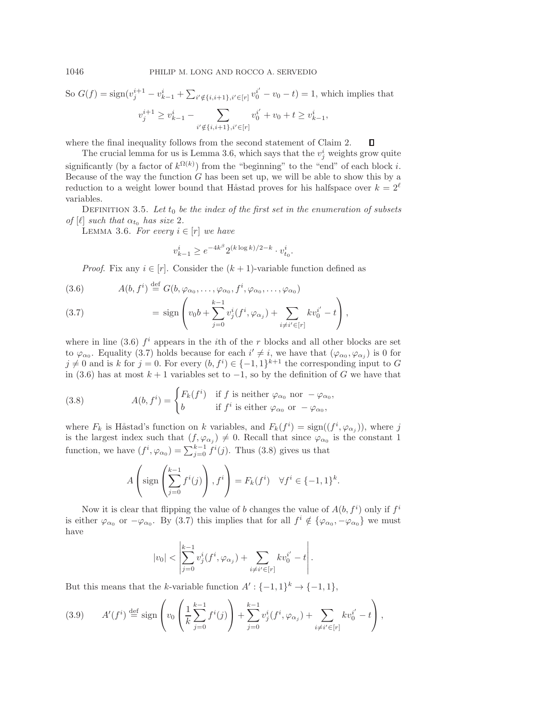So 
$$
G(f) = sign(v_j^{i+1} - v_{k-1}^i + \sum_{i' \notin \{i, i+1\}, i' \in [r]} v_0^{i'} - v_0 - t) = 1
$$
, which implies that  

$$
v_j^{i+1} \ge v_{k-1}^i - \sum_{i' \notin \{i, i+1\}, i' \in [r]} v_0^{i'} + v_0 + t \ge v_{k-1}^i,
$$

where the final inequality follows from the second statement of Claim [2.](#page-10-0)  $\Box$ 

The crucial lemma for us is Lemma [3.6,](#page-11-0) which says that the  $v_j^i$  weights grow quite significantly (by a factor of  $k^{\Omega(k)}$ ) from the "beginning" to the "end" of each block i. Because of the way the function  $G$  has been set up, we will be able to show this by a reduction to a weight lower bound that Håstad proves for his halfspace over  $k = 2^{\ell}$ variables.

<span id="page-11-0"></span>DEFINITION 3.5. Let  $t_0$  be the index of the first set in the enumeration of subsets *of* [ $\ell$ ] *such that*  $\alpha_{t_0}$  *has size* 2*.* 

LEMMA 3.6. For every  $i \in [r]$  we have

<span id="page-11-2"></span>
$$
v_{k-1}^i \ge e^{-4k^{\beta}} 2^{(k \log k)/2 - k} \cdot v_{t_0}^i.
$$

<span id="page-11-1"></span>*Proof.* Fix any  $i \in [r]$ . Consider the  $(k + 1)$ -variable function defined as

(3.6) 
$$
A(b, f^i) \stackrel{\text{def}}{=} G(b, \varphi_{\alpha_0}, \dots, \varphi_{\alpha_0}, f^i, \varphi_{\alpha_0}, \dots, \varphi_{\alpha_0})
$$

(3.7) 
$$
= \text{sign}\left(v_0 b + \sum_{j=0}^{k-1} v_j^i(f^i, \varphi_{\alpha_j}) + \sum_{i \neq i' \in [r]} k v_0^{i'} - t\right),
$$

where in line [\(3.6\)](#page-11-1)  $f^i$  appears in the *i*th of the r blocks and all other blocks are set to  $\varphi_{\alpha_0}$ . Equality [\(3.7\)](#page-11-1) holds because for each  $i' \neq i$ , we have that  $(\varphi_{\alpha_0}, \varphi_{\alpha_j})$  is 0 for  $i \neq 0$  and is k for  $i = 0$ . For every  $(h, f^i) \in \{-1, 1\}^{k+1}$  the corresponding input to  $G$  $j \neq 0$  and is k for  $j = 0$ . For every  $(b, f^i) \in \{-1, 1\}^{k+1}$  the corresponding input to G in (3.6) has at most  $k+1$  variables set to  $-1$  so by the definition of G we have that in [\(3.6\)](#page-11-1) has at most  $k + 1$  variables set to  $-1$ , so by the definition of G we have that

(3.8) 
$$
A(b, f^{i}) = \begin{cases} F_{k}(f^{i}) & \text{if } f \text{ is neither } \varphi_{\alpha_{0}} \text{ nor } -\varphi_{\alpha_{0}}, \\ b & \text{if } f^{i} \text{ is either } \varphi_{\alpha_{0}} \text{ or } -\varphi_{\alpha_{0}}, \end{cases}
$$

where  $F_k$  is Håstad's function on k variables, and  $F_k(f^i) = \text{sign}((f^i, \varphi_{\alpha_j}))$ , where j<br>is the largest index such that  $(f(\alpha)) \neq 0$ . Becall that since  $\alpha$  is the constant 1 is the largest index such that  $(f, \varphi_{\alpha_j}) \neq 0$ . Recall that since  $\varphi_{\alpha_0}$  is the constant 1 function, we have  $(f^i, \varphi_{\alpha_0}) = \sum_{j=0}^{k-1} f^i(j)$ . Thus [\(3.8\)](#page-11-2) gives us that

$$
A\left(\text{sign}\left(\sum_{j=0}^{k-1} f^i(j)\right), f^i\right) = F_k(f^i) \quad \forall f^i \in \{-1, 1\}^k.
$$

Now it is clear that flipping the value of b changes the value of  $A(b, f^i)$  only if  $f^i$ <br>ther  $\alpha$  or  $-\alpha$ . By (3.7) this implies that for all  $f^i \notin I_{\alpha}$   $-\alpha$ , but must is either  $\varphi_{\alpha_0}$  or  $-\varphi_{\alpha_0}$ . By [\(3.7\)](#page-11-1) this implies that for all  $f^i \notin {\varphi_{\alpha_0}, -\varphi_{\alpha_0}}$  we must have

<span id="page-11-3"></span>
$$
|v_0| < \left| \sum_{j=0}^{k-1} v_j^i(f^i, \varphi_{\alpha_j}) + \sum_{i \neq i' \in [r]} k v_0^{i'} - t \right|.
$$

But this means that the k-variable function  $A' : \{-1,1\}^k \to \{-1,1\},\$ 

$$
(3.9) \qquad A'(f^i) \stackrel{\text{def}}{=} \text{sign}\left(v_0\left(\frac{1}{k}\sum_{j=0}^{k-1} f^i(j)\right) + \sum_{j=0}^{k-1} v^i_j(f^i, \varphi_{\alpha_j}) + \sum_{i \neq i' \in [r]} k v^{i'}_0 - t\right),
$$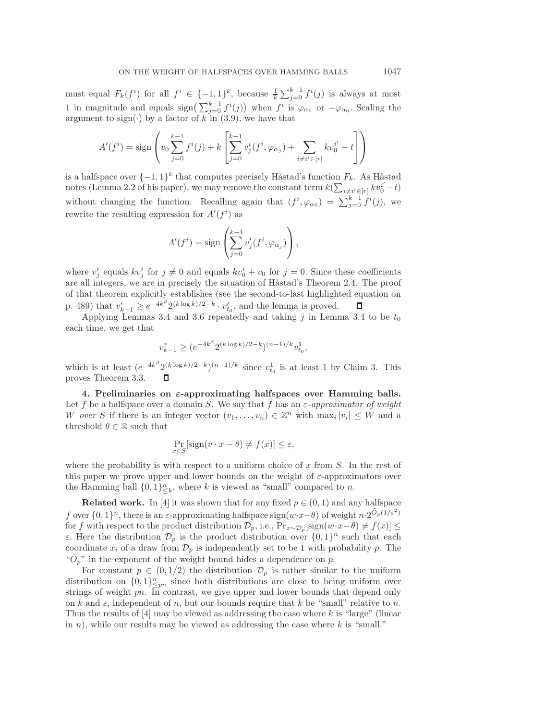must equal  $F_k(f^i)$  for all  $f^i \in \{-1,1\}^k$ , because  $\frac{1}{k} \sum_{j=0}^{k-1} f^i(j)$  is always at most 1 in magnitude and equals  $\text{sign}\left(\sum_{j=0}^{k-1} f^i(j)\right)$  when  $f^i$  is  $\varphi_{\alpha_0}$  or  $-\varphi_{\alpha_0}$ . Scaling the argument to sign( $\cdot$ ) by a factor of k in [\(3.9\)](#page-11-3), we have that

$$
A'(f^{i}) = \text{sign}\left(v_0 \sum_{j=0}^{k-1} f^{i}(j) + k \left[\sum_{j=0}^{k-1} v_j^{i}(f^{i}, \varphi_{\alpha_j}) + \sum_{i \neq i' \in [r]} k v_0^{i'} - t\right]\right)
$$

is a halfspace over  $\{-1,1\}^k$  that computes precisely Håstad's function  $F_k$ . As Håstad notes (Lemma 2.2 of his paper), we may remove the constant term  $k(\sum_{i\neq i'\in [r]} kv_0^{i'}-t)$ without changing the function. Recalling again that  $(f^i, \varphi_{\alpha_0}) = \sum_{j=0}^{k-1} f^i(j)$ , we rewrite the resulting expression for  $A'(f^i)$  as

$$
A'(f^{i}) = \text{sign}\left(\sum_{j=0}^{k-1} v'_{j}(f^{i}, \varphi_{\alpha_{j}})\right),
$$

where  $v'_j$  equals  $kv_j^i$  for  $j \neq 0$  and equals  $kv_0^i + v_0$  for  $j = 0$ . Since these coefficients are all integers, we are in precisely the situation of Håstad's Theorem 2.4. The proof of that theorem explicitly establishes (see the second-to-last highlighted equation on p. 489) that  $v'_{k-1} \geq e^{-4k^{\beta}} 2^{(k \log k)/2-k} \cdot v'_{t_0}$ , and the lemma is proved.<br>Applying Lemmas 3.4 and 3.6 repeatedly and taking *i* in Lemma

Applying Lemmas [3.4](#page-10-1) and [3.6](#page-11-0) repeatedly and taking j in Lemma 3.4 to be  $t_0$ each time, we get that

$$
v_{k-1}^r \ge (e^{-4k^{\beta}} 2^{(k \log k)/2 - k})^{(n-1)/k} v_{t_0}^1,
$$

which is at least  $(e^{-4k^{\beta}} 2^{(k \log k)/2-k})^{(n-1)/k}$  since  $v_{t_0}^1$  is at least 1 by Claim [3.](#page-10-2) This proves Theorem 3.3 proves Theorem [3.3.](#page-9-1)

**4. Preliminaries on** *ε***-approximating halfspaces over Hamming balls.** Let f be a halfspace over a domain S. We say that f has an  $\varepsilon$ -approximator of weight W *over* S if there is an integer vector  $(v_1,\ldots,v_n) \in \mathbb{Z}^n$  with  $\max_i |v_i| \leq W$  and a threshold  $\theta \in \mathbb{R}$  such that

$$
\Pr_{x \in S}[\text{sign}(v \cdot x - \theta) \neq f(x)] \leq \varepsilon,
$$

where the probability is with respect to a uniform choice of  $x$  from  $S$ . In the rest of this paper we prove upper and lower bounds on the weight of  $\varepsilon$ -approximators over the Hamming ball  $\{0,1\}_{\leq k}^n$ , where k is viewed as "small" compared to n.

**Related work.** In [\[4\]](#page-25-1) it was shown that for any fixed  $p \in (0, 1)$  and any halfspace f over  $\{0,1\}^n$ , there is an  $\varepsilon$ -approximating halfspace sign $(w \cdot x - \theta)$  of weight  $n \cdot 2^{\tilde{O}_p(1/\varepsilon^2)}$ for f with respect to the product distribution  $\mathcal{D}_p$ , i.e.,  $\Pr_{x \sim \mathcal{D}_p}[\text{sign}(w \cdot x - \theta) \neq f(x)] \leq$ ε. Here the distribution  $\mathcal{D}_p$  is the product distribution over  $\{0, 1\}^n$  such that each coordinate  $x_i$  of a draw from  $\mathcal{D}_p$  is independently set to be 1 with probability p. The " $\tilde{O}_p$ " in the exponent of the weight bound hides a dependence on p.

For constant  $p \in (0, 1/2)$  the distribution  $\mathcal{D}_p$  is rather similar to the uniform distribution on  $\{0,1\}_{\leq pn}^n$  since both distributions are close to being uniform over<br>strings of weight m. In contrast, we give upper and lower bounds that depend only strings of weight pn. In contrast, we give upper and lower bounds that depend only on k and  $\varepsilon$ , independent of n, but our bounds require that k be "small" relative to n. Thus the results of  $[4]$  may be viewed as addressing the case where k is "large" (linear in  $n$ ), while our results may be viewed as addressing the case where  $k$  is "small."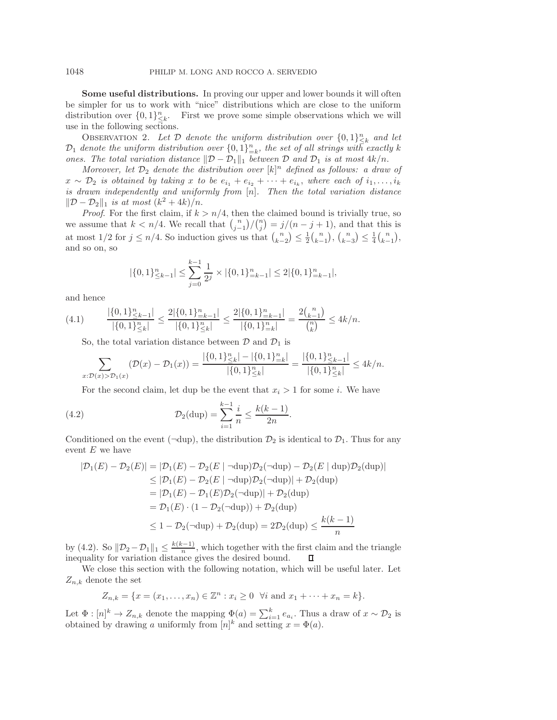**Some useful distributions.** In proving our upper and lower bounds it will often be simpler for us to work with "nice" distributions which are close to the uniform distribution over  $\{0,1\}_{\leq k}^n$ . First we prove some simple observations which we will use in the following sections.

<span id="page-13-1"></span>OBSERVATION 2. Let  $\mathcal D$  denote the uniform distribution over  $\{0,1\}_{k=k}^n$  and let<br>denote the uniform distribution over  $\{0,1\}^n$  the set of all strings with exactly k  $\mathcal{D}_1$  denote the uniform distribution over  $\{0,1\}_{k=k}^n$ , the set of all strings with exactly k<br>ones. The total variation distance  $\mathbb{D}_n \mathbb{D}_n$ , between  $\mathcal{D}_n$  and  $\mathcal{D}_n$  is at most  $4k/n$ *ones. The total variation distance*  $\|\mathcal{D} - \mathcal{D}_1\|_1$  *between*  $\mathcal{D}$  *and*  $\mathcal{D}_1$  *is at most*  $4k/n$ .

*Moreover, let*  $D_2$  *denote the distribution over*  $[k]^n$  *defined as follows: a draw of*  $D_2$  *is obtained by taking x to be e.*  $+e$ ,  $+...+e$ , where each of i.  $x \sim \mathcal{D}_2$  *is obtained by taking* x *to be*  $e_{i_1} + e_{i_2} + \cdots + e_{i_k}$ , where each of  $i_1, \ldots, i_k$ <br>*is drawn independently and writermly from [n]* Then the total variation distance *is drawn independently and uniformly from* [n]. Then the total variation distance  $||\mathcal{D} - \mathcal{D}_0||_1$  is at most  $(k^2 + 4k)/n$  $||D - D_2||_1$  *is at most*  $(k^2 + 4k)/n$ .<br>*Proof.* For the first claim, if  $k > n/4$ , then the claimed bound is trivially true, so

*Proof.* For the first claim, if  $k > n/4$ , then the claimed bound is trivially true, so resume that  $k > n/4$ . We recall that  $\binom{n}{k}$ we assume that  $k < n/4$ . We recall that  $\binom{n}{j-1}$  $\frac{1}{2}$  $\binom{n}{j} = j/(n-j+1)$ , and that this is at most  $1/2$  for  $j \leq n/4$ . So induction gives us that  $\binom{n}{k-2} \leq \frac{1}{2} \binom{n}{k-1}$ ,  $\binom{n}{k-3} \leq \frac{1}{4} \binom{n}{k-1}$ , and so on, so

<span id="page-13-0"></span>
$$
|\{0,1\}_{\leq k-1}^n| \leq \sum_{j=0}^{k-1} \frac{1}{2^j} \times |\{0,1\}_{=k-1}^n| \leq 2|\{0,1\}_{=k-1}^n|,
$$

and hence

$$
(4.1) \qquad \frac{|\{0,1\}_{\leq k-1}^n|}{|\{0,1\}_{\leq k}^n|} \leq \frac{2|\{0,1\}_{=k-1}^n|}{|\{0,1\}_{\leq k}^n|} \leq \frac{2|\{0,1\}_{=k-1}^n|}{|\{0,1\}_{=k}^n|} = \frac{2 {n \choose k-1}}{{n \choose k}} \leq 4k/n.
$$

So, the total variation distance between  $\mathcal D$  and  $\mathcal D_1$  is

$$
\sum_{x:D(x) > D_1(x)} (\mathcal{D}(x) - \mathcal{D}_1(x)) = \frac{|\{0,1\}_{\leq k}^n| - |\{0,1\}_{\leq k}^n|}{|\{0,1\}_{\leq k}^n|} = \frac{|\{0,1\}_{\leq k-1}^n|}{|\{0,1\}_{\leq k}^n|} \leq 4k/n.
$$

For the second claim, let dup be the event that  $x_i > 1$  for some i. We have

(4.2) 
$$
\mathcal{D}_2(\text{dup}) = \sum_{i=1}^{k-1} \frac{i}{n} \le \frac{k(k-1)}{2n}.
$$

Conditioned on the event ( $\neg$ dup), the distribution  $\mathcal{D}_2$  is identical to  $\mathcal{D}_1$ . Thus for any event  $E$  we have

$$
|\mathcal{D}_1(E) - \mathcal{D}_2(E)| = |\mathcal{D}_1(E) - \mathcal{D}_2(E \mid \neg \text{dup}) \mathcal{D}_2(\neg \text{dup}) - \mathcal{D}_2(E \mid \text{dup}) \mathcal{D}_2(\text{dup})|
$$
  
\n
$$
\leq |\mathcal{D}_1(E) - \mathcal{D}_2(E \mid \neg \text{dup}) \mathcal{D}_2(\neg \text{dup})| + \mathcal{D}_2(\text{dup})
$$
  
\n
$$
= |\mathcal{D}_1(E) - \mathcal{D}_1(E)\mathcal{D}_2(\neg \text{dup})| + \mathcal{D}_2(\text{dup})
$$
  
\n
$$
= \mathcal{D}_1(E) \cdot (1 - \mathcal{D}_2(\neg \text{dup})) + \mathcal{D}_2(\text{dup})
$$
  
\n
$$
\leq 1 - \mathcal{D}_2(\neg \text{dup}) + \mathcal{D}_2(\text{dup}) = 2\mathcal{D}_2(\text{dup}) \leq \frac{k(k-1)}{n}
$$

by [\(4.2\)](#page-13-0). So  $||\mathcal{D}_2 - \mathcal{D}_1||_1 \leq \frac{k(k-1)}{n}$ , which together with the first claim and the triangle inequality for variation distance gives the desired bound.

We close this section with the following notation, which will be useful later. Let  $Z_{n,k}$  denote the set

$$
Z_{n,k} = \{x = (x_1, \dots, x_n) \in \mathbb{Z}^n : x_i \ge 0 \ \forall i \text{ and } x_1 + \dots + x_n = k\}.
$$

Let  $\Phi : [n]^k \to Z_{n,k}$  denote the mapping  $\Phi(a) = \sum_{i=1}^k e_{a_i}$ . Thus a draw of  $x \sim \mathcal{D}_2$  is obtained by drawing a uniformly from  $[n]^k$  and setting  $x - \Phi(a)$ obtained by drawing a uniformly from  $[n]^k$  and setting  $x = \Phi(a)$ .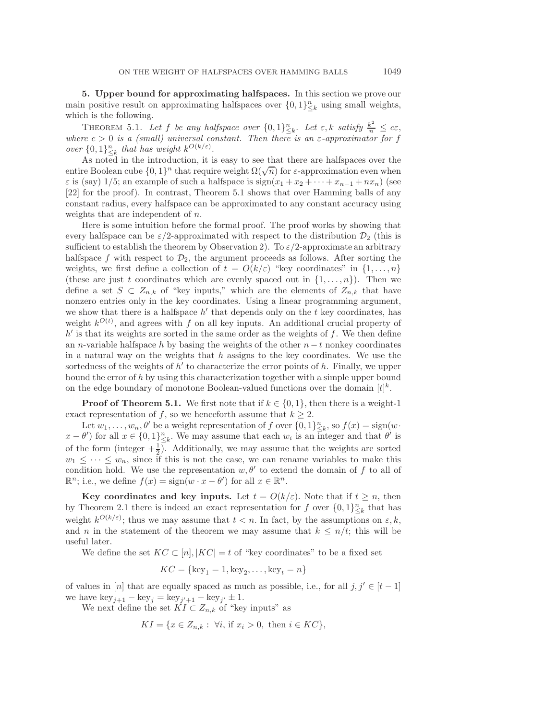**5. Upper bound for approximating halfspaces.** In this section we prove our main positive result on approximating halfspaces over  $\{0,1\}_{\leq k}^n$  using small weights, which is the following.

<span id="page-14-0"></span>THEOREM 5.1. Let f be any halfspace over  $\{0,1\}_{\leq k}^n$ . Let  $\varepsilon, k$  satisfy  $\frac{k^2}{n} \leq c\varepsilon$ ,  $\epsilon_n \geq c_1$  and  $\epsilon_n \geq c_2$  and  $\epsilon_n \geq c_2$  and  $\epsilon_n \geq c_1$  and  $\epsilon_n \geq c_2$ *where*  $c > 0$  *is a (small) universal constant. Then there is an*  $\varepsilon$ *-approximator for* f *over*  $\{0,1\}_{\leq k}^n$  *that has weight*  $k^{O(k/\varepsilon)}$ .<br>As noted in the introduction it is

As noted in the introduction, it is easy to see that there are halfspaces over the entire Boolean cube  $\{0,1\}^n$  that require weight  $\Omega(\sqrt{n})$  for  $\varepsilon$ -approximation even when  $\varepsilon$  is (say) 1/5; an example of such a halfspace is  $sign(x_1 + x_2 + \cdots + x_{n-1} + nx_n)$  (see [\[22\]](#page-26-9) for the proof). In contrast, Theorem [5.1](#page-14-0) shows that over Hamming balls of any constant radius, every halfspace can be approximated to any constant accuracy using weights that are independent of n.

Here is some intuition before the formal proof. The proof works by showing that every halfspace can be  $\varepsilon/2$ -approximated with respect to the distribution  $\mathcal{D}_2$  (this is sufficient to establish the theorem by Observation [2\)](#page-13-1). To  $\varepsilon/2$ -approximate an arbitrary halfspace f with respect to  $\mathcal{D}_2$ , the argument proceeds as follows. After sorting the weights, we first define a collection of  $t = O(k/\varepsilon)$  "key coordinates" in  $\{1,\ldots,n\}$ (these are just t coordinates which are evenly spaced out in  $\{1,\ldots,n\}$ ). Then we define a set  $S \subset Z_{n,k}$  of "key inputs," which are the elements of  $Z_{n,k}$  that have nonzero entries only in the key coordinates. Using a linear programming argument, we show that there is a halfspace  $h'$  that depends only on the t key coordinates, has weight  $k^{O(t)}$ , and agrees with f on all key inputs. An additional crucial property of  $k'$  is that its weights are sorted in the same order as the weights of f. We then define  $h'$  is that its weights are sorted in the same order as the weights of  $f$ . We then define an *n*-variable halfspace h by basing the weights of the other  $n - t$  nonkey coordinates in a natural way on the weights that  $h$  assigns to the key coordinates. We use the sortedness of the weights of  $h'$  to characterize the error points of h. Finally, we upper bound the error of  $h$  by using this characterization together with a simple upper bound on the edge boundary of monotone Boolean-valued functions over the domain  $[t]^k$ .

**Proof of Theorem [5.1.](#page-14-0)** We first note that if  $k \in \{0, 1\}$ , then there is a weight-1 exact representation of f, so we henceforth assume that  $k \geq 2$ .

Let  $w_1, \ldots, w_n, \theta'$  be a weight representation of f over  $\{0, 1\}_{\leq k}^n$ , so  $f(x) = \text{sign}(w \cdot \theta')$  for all  $x \in \{0, 1\}^n$ . We may assume that each  $w_i$  is an integer and that  $\theta'$  is  $x - \theta'$  for all  $x \in \{0,1\}_{\leq k}^n$ . We may assume that each  $w_i$  is an integer and that  $\theta'$  is of the form (integer  $+\frac{1}{2}$ ). Additionally, we may assume that the weights are sorted  $w_1 \leq \cdots \leq w_n$ , since if this is not the case, we can rename variables to make this condition hold. We use the representation  $w, \theta'$  to extend the domain of f to all of  $\mathbb{R}^n$ ; i.e., we define  $f(x) = \text{sign}(w \cdot x - \theta')$  for all  $x \in \mathbb{R}^n$ .

**Key coordinates and key inputs.** Let  $t = O(k/\varepsilon)$ . Note that if  $t \geq n$ , then by Theorem [2.1](#page-3-0) there is indeed an exact representation for f over  $\{0,1\}_{\leq k}^n$  that has weight  $k^{O(k/\varepsilon)}$ ; thus we may assume that  $t < n$ . In fact, by the assumptions on  $\varepsilon, k$ , and n in the statement of the theorem we may assume that  $k \leq n/t$ ; this will be useful later.

We define the set  $KC \subset [n], |KC| = t$  of "key coordinates" to be a fixed set

$$
KC = \{\text{key}_1 = 1, \text{key}_2, \dots, \text{key}_t = n\}
$$

of values in [n] that are equally spaced as much as possible, i.e., for all  $j, j' \in [t-1]$ we have  $\text{key}_{j+1} - \text{key}_j = \text{key}_{j'+1} - \text{key}_{j'} \pm 1.$ <br>We next define the set  $KL \subset Z$ , of "key"

We next define the set  $KI \subset Z_{n,k}$  of "key inputs" as

$$
KI = \{ x \in Z_{n,k} : \forall i, \text{ if } x_i > 0, \text{ then } i \in KC \},
$$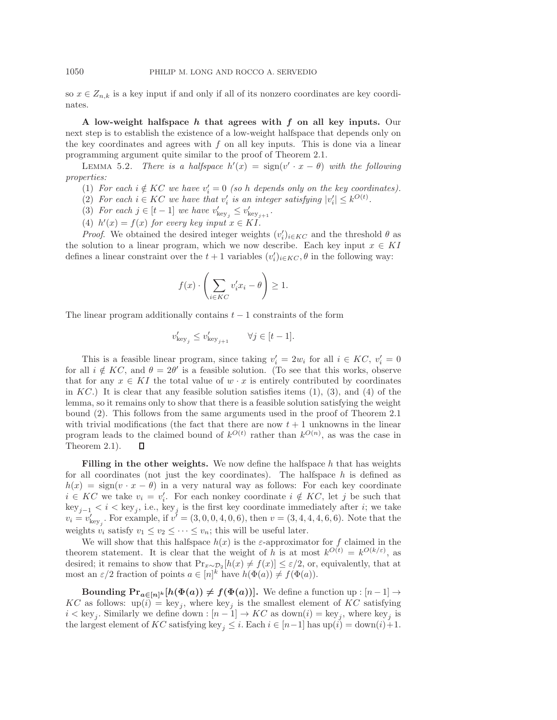so  $x \in Z_{n,k}$  is a key input if and only if all of its nonzero coordinates are key coordinates.

**A low-weight halfspace** *h* **that agrees with** *f* **on all key inputs.** Our next step is to establish the existence of a low-weight halfspace that depends only on the key coordinates and agrees with  $f$  on all key inputs. This is done via a linear programming argument quite similar to the proof of Theorem [2.1.](#page-3-0)

<span id="page-15-0"></span>LEMMA 5.2. *There is a halfspace*  $h'(x) = \text{sign}(v' \cdot x - \theta)$  *with the following properties:*

- (1) *For each*  $i \notin KC$  *we have*  $v_i' = 0$  *(so h depends only on the key coordinates).*<br>(2) *For each*  $i \in KC$  *we have that*  $v_i'$  *is an integer satisfying*  $|v_i'| < i^{O(t)}$ *.*
- (2) For each  $i \in KC$  we have that  $v'_i$  is an integer satisfying  $|v'_i| \leq k^{O(t)}$ .<br>
(3) For each  $i \in [t-1]$  we have  $v' \leq v'$
- (3) For each  $j \in [t-1]$  we have  $v'_{\text{key}_j} \leq v'_{\text{key}_{j+1}}$ .<br>  $(v'_{\text{key}_{j+1}})$
- (4)  $h'(x) = f(x)$  for every key input  $x \in K$ I.<br>Proof. We obtained the desired integer woisk

*Proof.* We obtained the desired integer weights  $(v'_i)_{i \in KC}$  and the threshold  $\theta$  as solution to a linear program, which we now describe. Each key input  $x \in KI$ the solution to a linear program, which we now describe. Each key input  $x \in K I$ defines a linear constraint over the  $t + 1$  variables  $(v'_i)_{i \in K_C}$ ,  $\theta$  in the following way:

$$
f(x) \cdot \left(\sum_{i \in KC} v_i' x_i - \theta\right) \ge 1.
$$

The linear program additionally contains  $t - 1$  constraints of the form

$$
v_{\mathrm{key}_j}' \leq v_{\mathrm{key}_{j+1}}' \qquad \forall j \in [t-1].
$$

This is a feasible linear program, since taking  $v'_i = 2w_i$  for all  $i \in KC$ ,  $v'_i = 0$ <br>all  $i \notin KC$  and  $\theta = 2\theta'$  is a feasible solution. (To see that this works, observe for all  $i \notin KC$ , and  $\theta = 2\theta'$  is a feasible solution. (To see that this works, observe that for any  $x \in KI$  the total value of  $w \cdot x$  is entirely contributed by coordinates in  $KC$ .) It is clear that any feasible solution satisfies items  $(1)$ ,  $(3)$ , and  $(4)$  of the lemma, so it remains only to show that there is a feasible solution satisfying the weight bound (2). This follows from the same arguments used in the proof of Theorem [2.1](#page-3-0) with trivial modifications (the fact that there are now  $t + 1$  unknowns in the linear program leads to the claimed bound of  $k^{O(t)}$  rather than  $k^{O(n)}$ , as was the case in Theorem 2.1) Theorem [2.1\)](#page-3-0).

Filling in the other weights. We now define the halfspace h that has weights for all coordinates (not just the key coordinates). The halfspace  $h$  is defined as  $h(x) = sign(v \cdot x - \theta)$  in a very natural way as follows: For each key coordinate  $i \in KC$  we take  $v_i = v'_i$ . For each nonkey coordinate  $i \notin KC$ , let j be such that  $kv_i \leq i \leq kv_i$ , i.e. key, i.e. the first key coordinate immediately after it we take  $key_{j-1} < i < key_j$ , i.e., key<sub>j</sub> is the first key coordinate immediately after *i*; we take  $v_i = v'_{\text{key}}$ . For example, if  $v' = (3, 0, 0, 4, 0, 6)$ , then  $v = (3, 4, 4, 4, 6, 6)$ . Note that the weights  $v_i$  satisfy  $v_1 \le v_2 \le \cdots \le v_n$ ; this will be useful later.

We will show that this halfspace  $h(x)$  is the  $\varepsilon$ -approximator for f claimed in the theorem statement. It is clear that the weight of h is at most  $k^{O(t)} = k^{O(k/\varepsilon)}$ , as desired; it remains to show that  $Pr_{x \sim \mathcal{D}_2}[h(x) \neq f(x)] \leq \varepsilon/2$ , or, equivalently, that at most an  $\varepsilon/2$  fraction of points  $a \in [n]^k$  have  $h(\Phi(a)) \neq f(\Phi(a))$ .

**Bounding**  $\Pr_{a \in [n]^k} [h(\Phi(a)) \neq f(\Phi(a))]$ **.** We define a function up :  $[n-1] \rightarrow$ <br>as follows: up(i) = koy, where koy, is the smallest element of KC satisfying KC as follows:  $\text{up}(i) = \text{key}_j$ , where  $\text{key}_j$  is the smallest element of KC satisfying  $i < \text{key}_j$ . Similarly we define down :  $[n-1] \rightarrow KC$  as down $(i) = \text{key}_j$ , where key<sub>j</sub> is the largest element of KC satisfying key<sub>j</sub>  $\leq i$ . Each  $i \in [n-1]$  has up $(i) = \text{down}(i) + 1$ .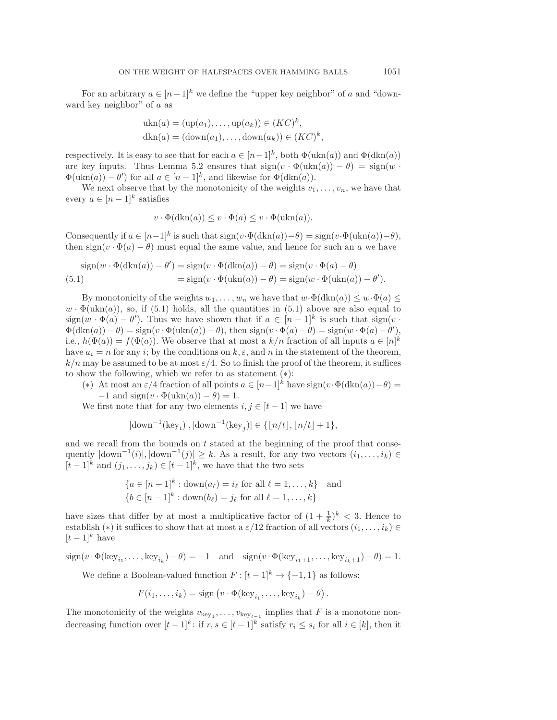For an arbitrary  $a \in [n-1]^k$  we define the "upper key neighbor" of a and "downward key neighbor" of a as

$$
\begin{aligned} \n\text{ukn}(a) &= (\text{up}(a_1), \dots, \text{up}(a_k)) \in (KC)^k, \\ \n\text{dkn}(a) &= (\text{down}(a_1), \dots, \text{down}(a_k)) \in (KC)^k, \n\end{aligned}
$$

respectively. It is easy to see that for each  $a \in [n-1]^k$ , both  $\Phi(\text{ukn}(a))$  and  $\Phi(\text{dkn}(a))$ are key inputs. Thus Lemma [5.2](#page-15-0) ensures that  $sign(v \cdot \Phi(lkn(a)) - \theta) = sign(w \cdot \theta(lkn(a)))$  $\Phi(\text{ukn}(a)) - \theta'$  for all  $a \in [n-1]^k$ , and likewise for  $\Phi(\text{dkn}(a))$ .<br>We next observe that by the monotonicity of the weights use

We next observe that by the monotonicity of the weights  $v_1, \ldots, v_n$ , we have that every  $a \in [n-1]^k$  satisfies

$$
v \cdot \Phi(\operatorname{dkn}(a)) \le v \cdot \Phi(a) \le v \cdot \Phi(\operatorname{ukn}(a)).
$$

Consequently if  $a \in [n-1]^k$  is such that  $sign(v \cdot \Phi(dkn(a)) - \theta) = sign(v \cdot \Phi(ukn(a)) - \theta)$ , then  $sign(v \cdot \Phi(a) - \theta)$  must equal the same value, and hence for such an a we have

<span id="page-16-0"></span>
$$
sign(w \cdot \Phi(dkn(a)) - \theta') = sign(v \cdot \Phi(dkn(a)) - \theta) = sign(v \cdot \Phi(a) - \theta)
$$
  
= sign(v \cdot \Phi(ukn(a)) - \theta) = sign(w \cdot \Phi(ukn(a)) - \theta').

By monotonicity of the weights  $w_1, \ldots, w_n$  we have that  $w \cdot \Phi(\text{dkn}(a)) \leq w \cdot \Phi(a) \leq$  $w \cdot \Phi(\text{ukn}(a))$ , so, if [\(5.1\)](#page-16-0) holds, all the quantities in (5.1) above are also equal to  $\text{sign}(w \cdot \Phi(a) - \theta')$ . Thus we have shown that if  $a \in [n-1]^k$  is such that  $\text{sign}(v \cdot \Phi(a)) - \theta$   $\text{sign}(w \cdot \Phi(a)) - \theta$   $\text{sign}(w \cdot \Phi(a) - \theta')$  $\Phi(\text{dkn}(a)) - \theta$  = sign(v ·  $\Phi(\text{ukn}(a)) - \theta$ ), then sign(v ·  $\Phi(a) - \theta$ ) = sign(w ·  $\Phi(a) - \theta'$ ),<br>i.e.  $h(\Phi(a)) - f(\Phi(a))$ . We observe that at most a k/n fraction of all inputs  $a \in [n]^k$ . i.e.,  $h(\Phi(a)) = f(\Phi(a))$ . We observe that at most a  $k/n$  fraction of all inputs  $a \in [n]^k$ <br>have  $a_i = n$  for any *i*; by the conditions on  $k \in \mathbb{R}$  and *n* in the statement of the theorem have  $a_i = n$  for any i; by the conditions on  $k, \varepsilon$ , and n in the statement of the theorem,  $k/n$  may be assumed to be at most  $\varepsilon/4$ . So to finish the proof of the theorem, it suffices to show the following, which we refer to as statement (∗):

(\*) At most an  $\varepsilon/4$  fraction of all points  $a \in [n-1]^k$  have  $sign(v \cdot \Phi(dkn(a)) - \theta) =$  $-1$  and sign(v ·  $\Phi(\text{ukn}(a)) - \theta$ ) = 1.

We first note that for any two elements  $i, j \in [t-1]$  we have

$$
|\text{down}^{-1}(\text{key}_i)|, |\text{down}^{-1}(\text{key}_j)| \in \{ \lfloor n/t \rfloor, \lfloor n/t \rfloor + 1 \},
$$

and we recall from the bounds on  $t$  stated at the beginning of the proof that consequently  $|\text{down}^{-1}(i)|$ ,  $|\text{down}^{-1}(j)| \ge k$ . As a result, for any two vectors  $(i_1, \ldots, i_k) \in$ <br> $[k-1]^k$  and  $(i_1, \ldots, i_k) \in [t-1]^k$  we have that the two sets  $[t-1]^k$  and  $(j_1,\ldots,j_k) \in [t-1]^k$ , we have that the two sets

$$
\{a \in [n-1]^k : \text{down}(a_\ell) = i_\ell \text{ for all } \ell = 1, ..., k\} \text{ and}
$$

$$
\{b \in [n-1]^k : \text{down}(b_\ell) = j_\ell \text{ for all } \ell = 1, ..., k\}
$$

have sizes that differ by at most a multiplicative factor of  $(1 + \frac{1}{k})^k < 3$ . Hence to get a blue that it most a  $\varepsilon/12$  fraction of all vectors  $(i, i) \in$ establish (\*) it suffices to show that at most a  $\varepsilon/12$  fraction of all vectors  $(i_1,\ldots,i_k) \in$  $[t-1]^k$  have

 $sign(v \cdot \Phi(\text{key}_{i_1}, \ldots, \text{key}_{i_k}) - \theta) = -1$  and  $sign(v \cdot \Phi(\text{key}_{i_1+1}, \ldots, \text{key}_{i_k+1}) - \theta) = 1.$ 

We define a Boolean-valued function  $F : [t-1]^k \to \{-1,1\}$  as follows:

$$
F(i_1,\ldots,i_k)=\text{sign}\left(v\cdot\Phi(\text{key}_{i_1},\ldots,\text{key}_{i_k})-\theta\right).
$$

The monotonicity of the weights  $v_{\text{key}_1}, \ldots, v_{\text{key}_{t-1}}$  implies that F is a monotone nondecreasing function over  $[t-1]^k$ : if  $r, s \in [t-1]^k$  satisfy  $r_i \leq s_i$  for all  $i \in [k]$ , then it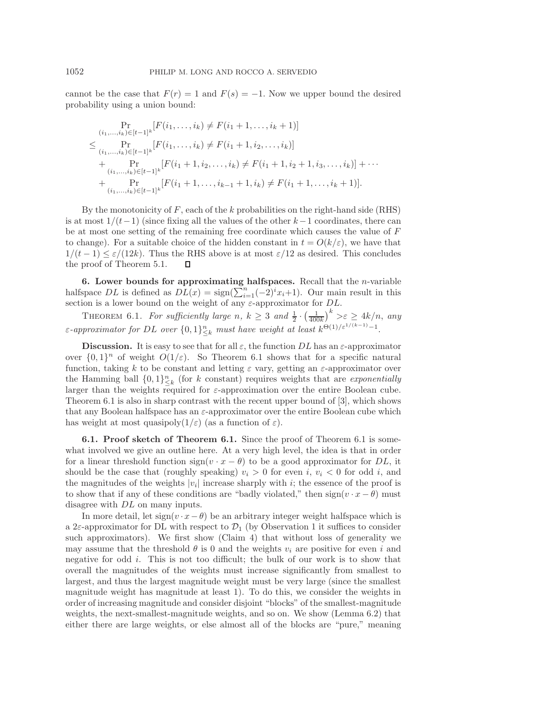cannot be the case that  $F(r) = 1$  and  $F(s) = -1$ . Now we upper bound the desired probability using a union bound:

$$
\Pr_{(i_1,\ldots,i_k)\in[t-1]^k}[F(i_1,\ldots,i_k) \neq F(i_1+1,\ldots,i_k+1)]
$$
\n
$$
\leq \Pr_{(i_1,\ldots,i_k)\in[t-1]^k}[F(i_1,\ldots,i_k) \neq F(i_1+1,i_2,\ldots,i_k)]
$$
\n
$$
+ \Pr_{(i_1,\ldots,i_k)\in[t-1]^k}[F(i_1+1,i_2,\ldots,i_k) \neq F(i_1+1,i_2+1,i_3,\ldots,i_k)] + \cdots
$$
\n
$$
+ \Pr_{(i_1,\ldots,i_k)\in[t-1]^k}[F(i_1+1,\ldots,i_{k-1}+1,i_k) \neq F(i_1+1,\ldots,i_k+1)].
$$

By the monotonicity of  $F$ , each of the k probabilities on the right-hand side (RHS) is at most  $1/(t-1)$  (since fixing all the values of the other  $k-1$  coordinates, there can be at most one setting of the remaining free coordinate which causes the value of F to change). For a suitable choice of the hidden constant in  $t = O(k/\varepsilon)$ , we have that  $1/(t-1)$  ≤  $\varepsilon/(12k)$ . Thus the RHS above is at most  $\varepsilon/12$  as desired. This concludes the proof of Theorem 5.1.  $\Box$ the proof of Theorem [5.1.](#page-14-0)

**6. Lower bounds for approximating halfspaces.** Recall that the n-variable halfspace  $DL$  is defined as  $DL(x) = \text{sign}(\sum_{i=1}^{n}(-2)^{i}x_{i}+1)$ . Our main result in this section is a lower bound on the weight of any  $\varepsilon$ -approximator for DL.

<span id="page-17-0"></span>THEOREM 6.1. *For sufficiently large*  $n, k \geq 3$  *and*  $\frac{1}{2} \cdot \left(\frac{1}{400k}\right)^k > \varepsilon \geq 4k/n$ , *any*  $\varepsilon$ -approximator for DL over  $\{0,1\}_{\leq k}^n$  *must have weight at least*  $k^{\Theta(1)/\varepsilon^{1/(k-1)}-1}$ .

**Discussion.** It is easy to see that for all  $\varepsilon$ , the function DL has an  $\varepsilon$ -approximator over  $\{0,1\}^n$  of weight  $O(1/\varepsilon)$ . So Theorem [6.1](#page-17-0) shows that for a specific natural function, taking k to be constant and letting  $\varepsilon$  vary, getting an  $\varepsilon$ -approximator over the Hamming ball  $\{0,1\}_{-\infty}^n$  (for k constant) requires weights that are *exponentially*<br>larger than the weights required for s-approximation over the entire Boolean cube larger than the weights required for  $\varepsilon$ -approximation over the entire Boolean cube. Theorem [6.1](#page-17-0) is also in sharp contrast with the recent upper bound of [\[3\]](#page-25-3), which shows that any Boolean halfspace has an  $\varepsilon$ -approximator over the entire Boolean cube which has weight at most quasipoly $(1/\varepsilon)$  (as a function of  $\varepsilon$ ).

**6.1. Proof sketch of Theorem [6.1.](#page-17-0)** Since the proof of Theorem [6.1](#page-17-0) is somewhat involved we give an outline here. At a very high level, the idea is that in order for a linear threshold function  $sign(v \cdot x - \theta)$  to be a good approximator for DL, it should be the case that (roughly speaking)  $v_i > 0$  for even i,  $v_i < 0$  for odd i, and the magnitudes of the weights  $|v_i|$  increase sharply with i; the essence of the proof is to show that if any of these conditions are "badly violated," then  $sign(v \cdot x - \theta)$  must disagree with  $DL$  on many inputs.

In more detail, let  $sign(v \cdot x - \theta)$  be an arbitrary integer weight halfspace which is a 2 $\varepsilon$ -approximator for DL with respect to  $\mathcal{D}_1$  (by Observation 1 it suffices to consider such approximators). We first show (Claim [4\)](#page-18-0) that without loss of generality we may assume that the threshold  $\theta$  is 0 and the weights  $v_i$  are positive for even i and negative for odd i. This is not too difficult; the bulk of our work is to show that overall the magnitudes of the weights must increase significantly from smallest to largest, and thus the largest magnitude weight must be very large (since the smallest magnitude weight has magnitude at least 1). To do this, we consider the weights in order of increasing magnitude and consider disjoint "blocks" of the smallest-magnitude weights, the next-smallest-magnitude weights, and so on. We show (Lemma [6.2\)](#page-20-0) that either there are large weights, or else almost all of the blocks are "pure," meaning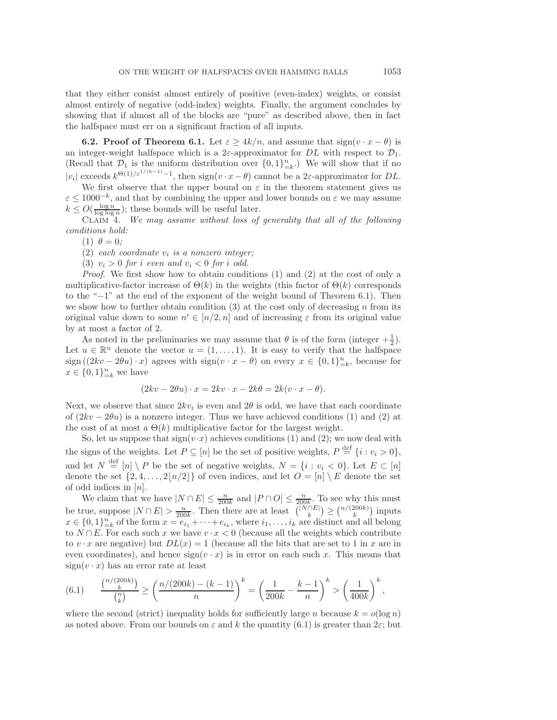that they either consist almost entirely of positive (even-index) weights, or consist almost entirely of negative (odd-index) weights. Finally, the argument concludes by showing that if almost all of the blocks are "pure" as described above, then in fact the halfspace must err on a significant fraction of all inputs.

**6.2. Proof of Theorem [6.1.](#page-17-0)** Let  $\varepsilon \geq 4k/n$ , and assume that  $\text{sign}(v \cdot x - \theta)$  is an integer-weight halfspace which is a  $2\varepsilon$ -approximator for DL with respect to  $\mathcal{D}_1$ . (Recall that  $\mathcal{D}_1$  is the uniform distribution over  $\{0, 1\}_{n=k}^n$ .) We will show that if no  $|v_i|$  exceeds  $k^{\Theta(1)/\varepsilon^{1/(k-1)}-1}$ , then sign $(v \cdot x - \theta)$  cannot be a 2 $\varepsilon$ -approximator for DL.

We first observe that the upper bound on  $\varepsilon$  in the theorem statement gives us  $\varepsilon \leq 1000^{-k}$ , and that by combining the upper and lower bounds on  $\varepsilon$  we may assume  $k \leq O(\frac{\log n}{\log \log n});$  these bounds will be useful later.<br>CLADA We may assume without loss of

<span id="page-18-0"></span>Claim 4. *We may assume without loss of generality that all of the following conditions hold:*

(1)  $\theta = 0$ ;

 $(2)$  *each coordinate*  $v_i$  *is a nonzero integer;* 

(3)  $v_i > 0$  *for i even* and  $v_i < 0$  *for i odd.* 

*Proof*. We first show how to obtain conditions (1) and (2) at the cost of only a multiplicative-factor increase of  $\Theta(k)$  in the weights (this factor of  $\Theta(k)$  corresponds to the "−1" at the end of the exponent of the weight bound of Theorem [6.1\)](#page-17-0). Then we show how to further obtain condition (3) at the cost only of decreasing n from its original value down to some  $n' \in [n/2, n]$  and of increasing  $\varepsilon$  from its original value by at most a factor of 2.

As noted in the preliminaries we may assume that  $\theta$  is of the form (integer  $+\frac{1}{2}$ ).<br>  $u \in \mathbb{R}^n$  denote the vector  $u = (1, 1)$ . It is easy to verify that the halfspace Let  $u \in \mathbb{R}^n$  denote the vector  $u = (1, \ldots, 1)$ . It is easy to verify that the halfspace sign  $((2kv - 2\theta u) \cdot x)$  agrees with  $sign(v \cdot x - \theta)$  on every  $x \in \{0, 1\}_{k=1}^n$ , because for  $x \in \{0, 1\}^n$  we have  $x \in \{0,1\}_{k=k}^{n}$  we have

$$
(2kv - 2\theta u) \cdot x = 2kv \cdot x - 2k\theta = 2k(v \cdot x - \theta).
$$

Next, we observe that since  $2kv_i$  is even and  $2\theta$  is odd, we have that each coordinate of  $(2kv - 2\theta u)$  is a nonzero integer. Thus we have achieved conditions (1) and (2) at the cost of at most a  $\Theta(k)$  multiplicative factor for the largest weight.

So, let us suppose that  $sign(v \cdot x)$  achieves conditions (1) and (2); we now deal with the signs of the weights. Let  $P \subseteq [n]$  be the set of positive weights,  $P \stackrel{\text{def}}{=} \{i : v_i > 0\}$ , and let  $N \stackrel{\text{def}}{=} [n] \setminus P$  be the set of negative weights,  $N = \{i : v_i < 0\}$ . Let  $E \subset [n]$ denote the set  $\{2, 4, ..., 2\lfloor n/2 \rfloor\}$  of even indices, and let  $O = [n] \setminus E$  denote the set of odd indices in  $[n]$ . of odd indices in  $[n]$ .<br>We claim that w

We claim that we have  $|N \cap E| \leq \frac{n}{200k}$  and  $|P \cap O| \leq \frac{n}{200k}$ . To see why this must<br>we generally  $\bigcap_{n=1}^{\infty} E_n$ . Then there are at last  $\bigcap_{n=1}^{\infty} E_n$ .  $\bigcap_{n=1}^{\infty} (200k)$  is seen be true, suppose  $|N \cap E| > \frac{n}{200k}$ . Then there are at least  $\binom{|N \cap E|}{k} \ge \binom{n/(200k)}{k}$  inputs  $x \in \Omega$  and the form  $x = e_i + \ldots + e_j$ , where is a specified and all belong  $x \in \{0,1\}_{k=0}^n$  of the form  $x = e_{i_1} + \cdots + e_{i_k}$ , where  $i_1, \ldots, i_k$  are distinct and all belong<br>to  $N \cap E$ . For each such x we have  $v, x \ge 0$  (because all the weights which contribute to  $N \cap E$ . For each such x we have  $v \cdot x < 0$  (because all the weights which contribute to  $v \cdot x$  are negative) but  $DL(x) = 1$  (because all the bits that are set to 1 in x are in even coordinates), and hence  $sign(v \cdot x)$  is in error on each such x. This means that  $sign(v \cdot x)$  has an error rate at least

<span id="page-18-1"></span>(6.1) 
$$
\frac{\binom{n/(200k)}{k}}{\binom{n}{k}} \ge \left(\frac{n/(200k) - (k-1)}{n}\right)^k = \left(\frac{1}{200k} - \frac{k-1}{n}\right)^k > \left(\frac{1}{400k}\right)^k,
$$

where the second (strict) inequality holds for sufficiently large n because  $k = o(\log n)$ as noted above. From our bounds on  $\varepsilon$  and k the quantity [\(6.1\)](#page-18-1) is greater than  $2\varepsilon$ ; but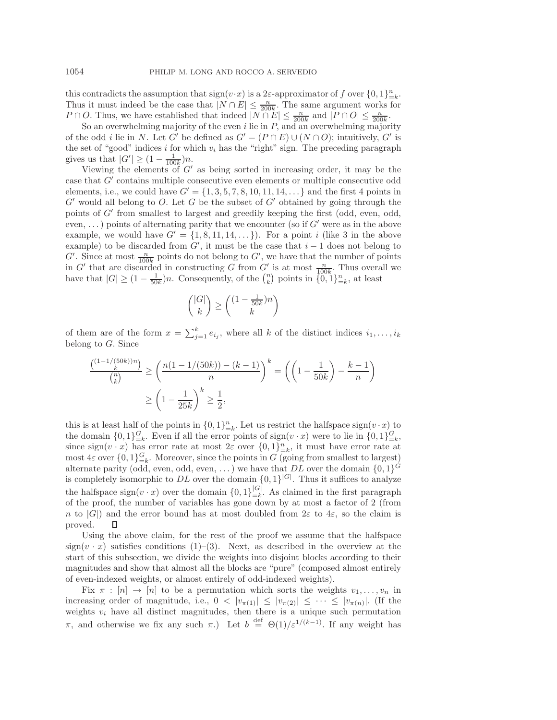this contradicts the assumption that  $sign(v \cdot x)$  is a 2 $\varepsilon$ -approximator of f over  $\{0,1\}_{k=1}^n$ . Thus it must indeed be the case that  $|N \cap E| \leq \frac{n}{200k}$ . The same argument works for  $P \cap O$ . Thus we have established that indeed  $|N \cap E| \leq \frac{n}{200k}$ .  $P \cap O$ . Thus, we have established that indeed  $|N \cap E| \leq \frac{n}{200k}$  and  $|P \cap O| \leq \frac{n}{200k}$ .

So an overwhelming majority of the even i lie in P, and an overwhelming majority<br>so an overwhelming majority of the even i lie in P, and an overwhelming majority<br>and i lie in N. Let C' be defined as  $C' - (P \cap E) \cup (N \cap O)$  in of the odd i lie in N. Let G' be defined as  $G' = (P \cap E) \cup (N \cap O)$ ; intuitively, G' is the set of "good" indices i for which  $v_i$  has the "right" sign. The preceding paragraph gives us that  $|G'| \geq (1 - \frac{1}{100k})n$ .<br>Viewing the elements of  $G'$ 

Viewing the elements of  $G'$  as being sorted in increasing order, it may be the case that  $G'$  contains multiple consecutive even elements or multiple consecutive odd elements, i.e., we could have  $G' = \{1, 3, 5, 7, 8, 10, 11, 14, ...\}$  and the first 4 points in  $G'$  would all belong to O. Let G be the subset of  $G'$  obtained by going through the points of  $G'$  from smallest to largest and greedily keeping the first (odd, even, odd, even, ...) points of alternating parity that we encounter (so if  $G'$  were as in the above example, we would have  $G' = \{1, 8, 11, 14, ...\}$ . For a point i (like 3 in the above example) to be discarded from  $G'$ , it must be the case that  $i - 1$  does not belong to  $G'$ . Since at most  $\frac{n}{f}$  points do not belong to  $G'$ , we have that the number of points  $G'$ . Since at most  $\frac{n}{100k}$  points do not belong to  $G'$ , we have that the number of points<br>in  $G'$  that are discarded in constructing  $G$  from  $G'$  is at most  $\frac{n}{\sqrt{n}}$ . Thus overall we in G' that are discarded in constructing G from G' is at most  $\frac{n}{100k}$ . Thus overall we<br>have that  $|G| > (1 - \frac{1}{n})n$ . Consequently, of the  $\binom{n}{k}$  points in  $\frac{1}{n} \cdot 1 \cdot 1^n$  at least have that  $|G| \ge (1 - \frac{1}{50k})n$ . Consequently, of the  $\binom{n}{k}$  points in  $\{0, 1\}_{k=k}^n$ , at least

$$
\binom{|G|}{k} \ge \binom{(1 - \frac{1}{50k})n}{k}
$$

of them are of the form  $x = \sum_{j=1}^{k} e_{ij}$ , where all k of the distinct indices  $i_1, \ldots, i_k$ belong to  $G$ . Since

$$
\frac{\binom{(1-1/(50k))n}{k}}{\binom{n}{k}} \ge \left(\frac{n(1-1/(50k)) - (k-1)}{n}\right)^k = \left(\left(1 - \frac{1}{50k}\right) - \frac{k-1}{n}\right)^k
$$

$$
\ge \left(1 - \frac{1}{25k}\right)^k \ge \frac{1}{2},
$$

this is at least half of the points in  $\{0,1\}_{k=k}^n$ . Let us restrict the halfspace sign( $v \cdot x$ ) to the domain  $\{0,1\}_{n=0}^G$ . Even if all the error points of sign( $v \cdot x$ ) were to lie in  $f(0,1)G$ the domain  $\{0,1\}^{\mathcal{G}}_{=k}$ . Even if all the error points of  $sign(v \cdot x)$  were to lie in  $\{0,1\}^{\mathcal{G}}_{=k}$ , since  $\text{sign}(v \cdot x)$  has error rate at most  $2\varepsilon$  over  $\{0,1\}_{-k}^n$ , it must have error rate at most  $A \varepsilon$  over  $I \cap 1 \cdot G$ . Moreover, since the points in  $G$  (going from smallest to largest) most  $4\varepsilon$  over  $\{0,1\}_{k=1}^G$ . Moreover, since the points in G (going from smallest to largest) alternate parity (odd, even, odd, even, ...) we have that DL over the domain  $\{0,1\}^G$ is completely isomorphic to DL over the domain  $\{0,1\}^{|G|}$ . Thus it suffices to analyze the halfspace  $\text{sign}(v \cdot x)$  over the domain  $\{0,1\}^{|\mathcal{G}|}_{=k}$ . As claimed in the first paragraph of the proof the number of variables has gone down by at most a factor of 2 (from of the proof, the number of variables has gone down by at most a factor of 2 (from n to  $|G|$ ) and the error bound has at most doubled from  $2\varepsilon$  to  $4\varepsilon$ , so the claim is proved.  $\Box$ proved.

Using the above claim, for the rest of the proof we assume that the halfspace sign( $v \cdot x$ ) satisfies conditions (1)–(3). Next, as described in the overview at the start of this subsection, we divide the weights into disjoint blocks according to their magnitudes and show that almost all the blocks are "pure" (composed almost entirely of even-indexed weights, or almost entirely of odd-indexed weights).

Fix  $\pi : [n] \rightarrow [n]$  to be a permutation which sorts the weights  $v_1, \ldots, v_n$  in increasing order of magnitude, i.e.,  $0 < |v_{\pi(1)}| \le |v_{\pi(2)}| \le \cdots \le |v_{\pi(n)}|$ . (If the weights  $v_i$  have all distinct magnitudes, then there is a unique such permutation π, and otherwise we fix any such π.) Let  $b \stackrel{\text{def}}{=} \Theta(1)/\varepsilon^{1/(k-1)}$ . If any weight has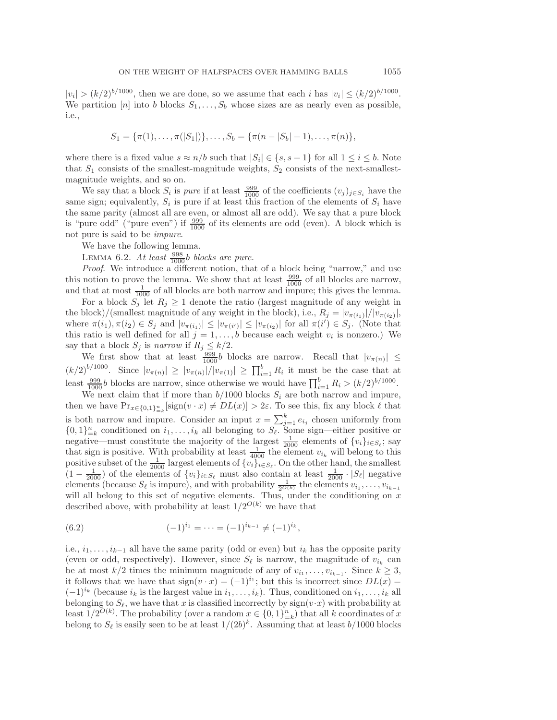$|v_i| > (k/2)^{b/1000}$ , then we are done, so we assume that each i has  $|v_i| \le (k/2)^{b/1000}$ . We partition [n] into b blocks  $S_1, \ldots, S_b$  whose sizes are as nearly even as possible, i.e.,

$$
S_1 = \{\pi(1), \ldots, \pi(|S_1|)\}, \ldots, S_b = \{\pi(n-|S_b|+1), \ldots, \pi(n)\},\
$$

where there is a fixed value  $s \approx n/b$  such that  $|S_i| \in \{s, s + 1\}$  for all  $1 \leq i \leq b$ . Note that  $S_1$  consists of the smallest-magnitude weights,  $S_2$  consists of the next-smallestmagnitude weights, and so on.

We say that a block  $S_i$  is *pure* if at least  $\frac{999}{1000}$  of the coefficients  $(v_j)_{j \in S_i}$  have the example of  $S_i$  have the sign: equivalently  $S_i$  is pure if at least this fraction of the elements of  $S_i$  have same sign; equivalently,  $S_i$  is pure if at least this fraction of the elements of  $S_i$  have the same parity (almost all are even, or almost all are odd). We say that a pure block is "pure odd" ("pure even") if  $\frac{999}{1000}$  of its elements are odd (even). A block which is not pure is said to be *impure*.

<span id="page-20-0"></span>We have the following lemma.

LEMMA  $6.2$ . *At least*  $\frac{998}{1000}$ *b blocks are pure.*<br>*Proof* We introduce a different potion, the

*Proof*. We introduce a different notion, that of a block being "narrow," and use this notion to prove the lemma. We show that at least  $\frac{999}{1000}$  of all blocks are narrow, and that at most  $\frac{1}{1000}$  of all blocks are both narrow and impure; this gives the lemma.

For a block  $S_j$  let  $R_j \geq 1$  denote the ratio (largest magnitude of any weight in the block)/(smallest magnitude of any weight in the block), i.e.,  $R_j = |v_{\pi(i_1)}|/|v_{\pi(i_2)}|$ , where  $\pi(i_1), \pi(i_2) \in S_j$  and  $|v_{\pi(i_1)}| \leq |v_{\pi(i')}| \leq |v_{\pi(i_2)}|$  for all  $\pi(i') \in S_j$ . (Note that this ratio is well defined for all  $i-1$  b because each weight  $v_i$  is nonzero.) We this ratio is well defined for all  $j = 1, \ldots, b$  because each weight  $v_i$  is nonzero.) We say that a block  $S_j$  is *narrow* if  $R_j \leq k/2$ .

We first show that at least  $\frac{999}{1000}$  blocks are narrow. Recall that  $|v_{\pi(n)}| \le$  $(k/2)^{b/1000}$ . Since  $|v_{\pi(n)}| \ge |v_{\pi(n)}|/|v_{\pi(1)}| \ge \prod_{i=1}^{b} R_i$  it must be the case that at least  $\frac{999}{1000}$  blocks are narrow, since otherwise we would have  $\prod_{i=1}^{b} R_i > (k/2)^{b/1000}$ .

We next claim that if more than  $b/1000$  blocks  $S_i$  are both narrow and impure, then we have  $Pr_{x \in \{0,1\}_{-\kappa}^n}[\text{sign}(v \cdot x) \neq DL(x)] > 2\varepsilon$ . To see this, fix any block  $\ell$  that is both narrow and impure. Consider an input  $x = \sum_{j=1}^{k} e_{ij}$  chosen uniformly from  $f(0, 1)^n$  conditioned on  $i_i$ , all belonging to  $S_i$ . Some sign—oither positive or  $\{0,1\}_{-k}^{n}$  conditioned on  $i_1,\ldots,i_k$  all belonging to  $S_{\ell}$ . Some sign—either positive or<br>negative—must constitute the majority of the largest  $\frac{1}{2000}$  elements of  $\{v_i\}_{i \in S_{\ell}}$ ; say<br>that sign is positive. W positive subset of the  $\frac{1}{2000}$  largest elements of  $\{v_i\}_{i \in S_\ell}$ . On the other hand, the smallest  $(1 - 1)$  of the elements of  $\{v_i\}_{i \in S_\ell}$  must also contain at least  $\frac{1}{\ell}$ .  $|S_\ell|$  negative  $(1 - \frac{1}{2000})$  of the elements of  $\{v_i\}_{i \in S_\ell}$  must also contain at least  $\frac{1}{2000} \cdot |S_\ell|$  negative<br>elements (because  $S_\ell$  is impure) and with probability  $\frac{1}{2}$  the elements  $v_i$ elements (because  $S_{\ell}$  is impure), and with probability  $\frac{1}{2^{O(k)}}$  the elements  $v_{i_1}, \ldots, v_{i_{k-1}}$ will all belong to this set of negative elements. Thus, under the conditioning on  $x$ described above, with probability at least  $1/2^{O(k)}$  we have that

(6.2) 
$$
(-1)^{i_1} = \cdots = (-1)^{i_{k-1}} \neq (-1)^{i_k},
$$

i.e.,  $i_1, \ldots, i_{k-1}$  all have the same parity (odd or even) but  $i_k$  has the opposite parity (even or odd, respectively). However, since  $S_{\ell}$  is narrow, the magnitude of  $v_{i_k}$  can be at most  $k/2$  times the minimum magnitude of any of  $v_{i_1}, \ldots, v_{i_{k-1}}$ . Since  $k \geq 3$ , it follows that we have that  $sign(v \cdot x)=(-1)^{i_1}$ ; but this is incorrect since  $DL(x)$  =  $(-1)^{i_k}$  (because  $i_k$  is the largest value in  $i_1,\ldots,i_k$ ). Thus, conditioned on  $i_1,\ldots,i_k$  all belonging to  $S_{\ell}$ , we have that x is classified incorrectly by  $sign(v \cdot x)$  with probability at least  $1/2^{O(k)}$ . The probability (over a random  $x \in \{0,1\}_{k=1}^n$ ) that all k coordinates of x<br>belong to S<sub>s</sub> is easily seen to be at least  $1/(2b)^k$ . Assuming that at least  $h/1000$  blocks belong to  $S_{\ell}$  is easily seen to be at least  $1/(2b)^{k}$ . Assuming that at least  $b/1000$  blocks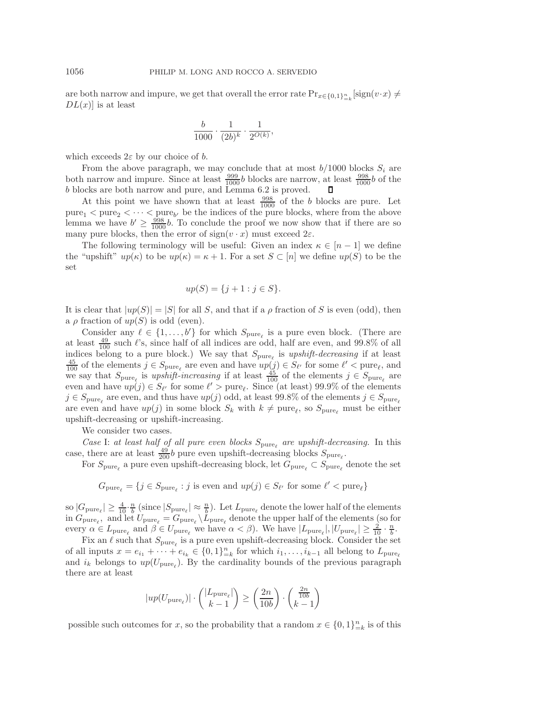are both narrow and impure, we get that overall the error rate  $\Pr_{x \in \{0,1\}_{k=0}^n}[\text{sign}(v \cdot x) \neq D(L(x))]$  is at least  $DL(x)$  is at least

$$
\frac{b}{1000} \cdot \frac{1}{(2b)^k} \cdot \frac{1}{2^{O(k)}},
$$

which exceeds  $2\varepsilon$  by our choice of b.

From the above paragraph, we may conclude that at most  $b/1000$  blocks  $S_i$  are both narrow and impure. Since at least  $\frac{999}{1000}b$  blocks are narrow, at least  $\frac{998}{1000}b$  of the blocks are both narrow and pure, and Lemma 6.2 is proved b blocks are both narrow and pure, and Lemma [6.2](#page-20-0) is proved.

At this point we have shown that at least  $\frac{998}{1000}$  of the b blocks are pure. Let pure<sub>1</sub>  $\lt$  pure<sub>2</sub>  $\lt \cdots \lt$  pure<sub>b</sub>, be the indices of the pure blocks, where from the above<br>lamma we have  $h' > \frac{998}{2}h$ . To conclude the proof we now show that if there are so lemma we have  $b' \ge \frac{998}{1000}b$ . To conclude the proof we now show that if there are so many pure blocks, then the error of sign(x, x) must exceed  $2\varepsilon$ many pure blocks, then the error of  $sign(v \cdot x)$  must exceed  $2\varepsilon$ .

The following terminology will be useful: Given an index  $\kappa \in [n-1]$  we define the "upshift"  $up(\kappa)$  to be  $up(\kappa) = \kappa + 1$ . For a set  $S \subset [n]$  we define  $up(S)$  to be the set

$$
up(S) = \{j+1 : j \in S\}.
$$

It is clear that  $|up(S)| = |S|$  for all S, and that if a  $\rho$  fraction of S is even (odd), then a  $\rho$  fraction of  $up(S)$  is odd (even).

Consider any  $\ell \in \{1, ..., b'\}$  for which  $S_{\text{pure}_\ell}$  is a pure even block. (There are<br>exert  $\frac{49}{12}$  such  $\ell$ 's since half of all indices are odd, half are even and  $99.8\%$  of all at least  $\frac{49}{100}$  such  $\ell$ 's, since half of all indices are odd, half are even, and 99.8% of all<br>indices belong to a pure block). We say that S is unshift-decreasing if at least indices belong to a pure block.) We say that  $S_{\text{pure}_\ell}$  is *upshift-decreasing* if at least  $\frac{45}{100}$  of the elements  $j \in S_{\text{pure}_\ell}$  are even and have  $up(j) \in S_{\ell'}$  for some  $\ell' < \text{pure}_\ell$ , and we say that  $S$  is *uns* we say that  $S_{\text{pure}_\ell}$  is *upshift-increasing* if at least  $\frac{45}{100}$  of the elements  $j \in S_{\text{pure}_\ell}$  are<br>even and have  $un(j) \in S_{\text{tot}}$  for some  $\ell' > \text{pure}_\ell$ . Since (at least) 99.9% of the elements even and have  $up(j) \in S_{\ell'}$  for some  $\ell' > \text{pure}_{\ell}$ . Since (at least) 99.9% of the elements  $i \in S$  are even and thus have  $un(i)$  odd, at least 99.8% of the elements  $i \in S$  $j \in S_{\text{pure}_\ell}$  are even, and thus have  $up(j)$  odd, at least 99.8% of the elements  $j \in S_{\text{pure}_\ell}$ are even and have  $up(j)$  in some block  $S_k$  with  $k \neq pure_\ell$ , so  $S_{pure_\ell}$  must be either upshift-decreasing or upshift-increasing.

We consider two cases.

*Case* I: *at least half of all pure even blocks*  $S_{pure}$  *are upshift-decreasing.* In this case, there are at least  $\frac{49}{200}$  pure even upshift-decreasing blocks  $S_{\text{pure}_\ell}$ .

For  $S_{\text{pure}}$  a pure even upshift-decreasing block, let  $G_{\text{pure}} \subset S_{\text{pure}}$  denote the set

 $G_{\text{pure}_{\ell}} = \{ j \in S_{\text{pure}_{\ell}} : j \text{ is even and } up(j) \in S_{\ell'} \text{ for some } \ell' < \text{pure}_{\ell} \}$ 

so  $|G_{pure_\ell}| \geq \frac{4}{10} \cdot \frac{n}{b}$  (since  $|S_{pure_\ell}| \approx \frac{n}{b}$ ). Let  $L_{pure_\ell}$  denote the lower half of the elements in  $G$  and let  $U = G \setminus L$  denote the upper half of the elements (so for in  $G_{\text{pure}_\ell}$ , and let  $U_{\text{pure}_\ell} = G_{\text{pure}_\ell} \setminus L_{\text{pure}_\ell}$  denote the upper half of the elements (so for every  $\alpha \in L_{\text{pure}_\ell}$  and  $\beta \in U_{\text{pure}_\ell}$  we have  $\alpha < \beta$ ). We have  $|L_{\text{pure}_\ell}|, |U_{\text{pure}_\ell}| \geq \frac{2}{10} \cdot \frac{n}{b}$ .<br>Fix an  $\ell$  such that  $S$  is a pure even upshift decreasing block. Consider the set

Fix an  $\ell$  such that  $S_{\rm pure_\ell}$  is a pure even upshift-decreasing block. Consider the set of all inputs  $x = e_{i_1} + \cdots + e_{i_k} \in \{0,1\}_{-k}^n$  for which  $i_1, \ldots, i_{k-1}$  all belong to  $L_{pure}$ <br>and it belongs to  $un(U)$ . By the cardinality bounds of the previous paragraph and  $i_k$  belongs to  $up(U_{pure})$ . By the cardinality bounds of the previous paragraph there are at least

$$
|up(U_{\text{pure}_{\ell}})| \cdot \binom{|L_{\text{pure}_{\ell}}|}{k-1} \ge \left(\frac{2n}{10b}\right) \cdot \binom{\frac{2n}{10b}}{k-1}
$$

possible such outcomes for x, so the probability that a random  $x \in \{0,1\}_{k=k}^n$  is of this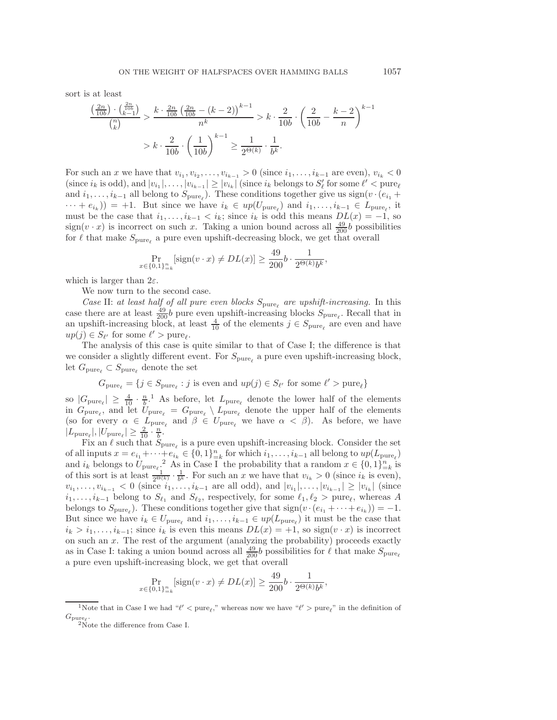sort is at least

$$
\frac{\left(\frac{2n}{10b}\right) \cdot \left(\frac{2n}{h^{0}}\right)}{\binom{n}{k}} > \frac{k \cdot \frac{2n}{10b} \left(\frac{2n}{10b} - (k-2)\right)^{k-1}}{n^k} > k \cdot \frac{2}{10b} \cdot \left(\frac{2}{10b} - \frac{k-2}{n}\right)^{k-1} \\
 > k \cdot \frac{2}{10b} \cdot \left(\frac{1}{10b}\right)^{k-1} \ge \frac{1}{2^{\Theta(k)}} \cdot \frac{1}{b^k}.
$$

For such an x we have that  $v_{i_1}, v_{i_2}, \ldots, v_{i_{k-1}} > 0$  (since  $i_1, \ldots, i_{k-1}$  are even),  $v_{i_k} < 0$ (since  $i_k$  is odd), and  $|v_{i_1}|, \ldots, |v_{i_{k-1}}| \ge |v_{i_k}|$  (since  $i_k$  belongs to  $S'_\ell$  for some  $\ell' < \text{pure}_\ell$ )<br>and  $i_k$   $\ldots$  all belong to  $S'_k$ ). These conditions together give us sign( $v_k$ ) (e.  $\pm$ and  $i_1,\ldots,i_{k-1}$  all belong to  $S_{pure}$ ). These conditions together give us sign(v · ( $e_{i_1}$  +  $\cdots + e_{i_k}$ ) = +1. But since we have  $i_k \in up(U_{pure_k})$  and  $i_1, \ldots, i_{k-1} \in L_{pure_k}$ , it must be the case that  $i_1, \ldots, i_{k-1} < i_k$ ; since  $i_k$  is odd this means  $DL(x) = -1$ , so  $sign(v \cdot x)$  is incorrect on such x. Taking a union bound across all  $\frac{49}{200}b$  possibilities<br>for  $\ell$  that make  $S_{\ell}$  a pure even upshift-decreasing block, we get that overall for  $\ell$  that make  $S_{\text{pure}_{\ell}}$  a pure even upshift-decreasing block, we get that overall

$$
\Pr_{x \in \{0,1\}_{-\kappa}^n}[\text{sign}(v \cdot x) \neq DL(x)] \ge \frac{49}{200}b \cdot \frac{1}{2^{\Theta(k)}b^k},
$$

which is larger than  $2\varepsilon$ .

We now turn to the second case.

*Case* II: *at least half of all pure even blocks*  $S_{\text{pure}_\ell}$  *are upshift-increasing.* In this case there are at least  $\frac{49}{200}b$  pure even upshift-increasing blocks  $S_{\text{pure}_\ell}$ . Recall that in an upshift-increasing block, at least  $\frac{4}{10}$  of the elements  $j \in S_{pure_\ell}$  are even and have  $up(j) \in S_{\ell'}$  for some  $\ell' > pure_{\ell'}$ .<br>The analysis of this case is

The analysis of this case is quite similar to that of Case I; the difference is that we consider a slightly different event. For  $S_{\text{pure}}$  a pure even upshift-increasing block, let  $G_{\text{pure}_{\ell}} \subset S_{\text{pure}_{\ell}}$  denote the set

$$
G_{\text{pure}_{\ell}} = \{ j \in S_{\text{pure}_{\ell}} : j \text{ is even and } up(j) \in S_{\ell'} \text{ for some } \ell' > \text{pure}_{\ell} \}
$$

so  $|G_{pure_\ell}| \geq \frac{4}{10} \cdot \frac{n}{b}$  $|G_{pure_\ell}| \geq \frac{4}{10} \cdot \frac{n}{b}$  $|G_{pure_\ell}| \geq \frac{4}{10} \cdot \frac{n}{b}$ .<sup>1</sup> As before, let  $L_{pure_\ell}$  denote the lower half of the elements<br>in  $G$  and let  $U = G \setminus L$  denote the upper half of the elements  $G_{\text{pure}_\ell} \leq 10^{-6}$ . As before, the  $L_{\text{pure}_\ell}$  denote the upper half of the elements<br>in  $G_{\text{pure}_\ell}$ , and let  $U_{\text{pure}_\ell} = G_{\text{pure}_\ell} \setminus L_{\text{pure}_\ell}$  denote the upper half of the elements (so for every  $\alpha \in L_{pure_{\ell}}$  and  $\beta \in U_{pure_{\ell}}$  we have  $\alpha < \beta$ ). As before, we have  $|L_{\text{pure}_\ell}|, |U_{\text{pure}_\ell}| \geq \frac{2}{10} \cdot \frac{n}{b}.$ <br>Fix an  $\ell$  such that S

Fix an  $\ell$  such that  $S_{\text{pure}_{\ell}}$  is a pure even upshift-increasing block. Consider the set of all inputs  $x = e_{i_1} + \cdots + e_{i_k} \in \{0,1\}_{k=1}^n$  for which  $i_1, \ldots, i_{k-1}$  all belong to  $up(L_{pure_k})$ <br>and it belongs to  $U = \begin{cases} 2 & \text{if } k \neq i \end{cases}$  the probability that a random  $x \in \{0, 1\}^n$  is and  $i_k$  belongs to  $U_{\text{pure}}$ , <sup>[2](#page-22-1)</sup> As in Case I the probability that a random  $x \in \{0,1\}_{k=1}^n$  is<br>of this sort is at least  $\frac{1}{x}$ ,  $\frac{1}{x}$ . For such an x we have that  $v_k > 0$  (since it is even) of this sort is at least  $\frac{1}{2^{\Theta(k)}} \cdot \frac{1}{b^k}$ . For such an x we have that  $v_{i_k} > 0$  (since  $i_k$  is even),  $v_{i_1}, \ldots, v_{i_{k-1}} < 0$  (since  $i_1, \ldots, i_{k-1}$  are all odd), and  $|v_{i_1}|, \ldots, |v_{i_{k-1}}| \geq |v_{i_k}|$  (since  $i_1,\ldots,i_{k-1}$  belong to  $S_{\ell_1}$  and  $S_{\ell_2}$ , respectively, for some  $\ell_1, \ell_2 > \text{pure}_{\ell}$ , whereas A belongs to  $S_{pure_{\ell}}$ ). These conditions together give that  $sign(v \cdot (e_{i_1} + \cdots + e_{i_k})) = -1$ . But since we have  $i_k \in U_{\text{pure}_{\ell}}$  and  $i_1, \ldots, i_{k-1} \in up(L_{\text{pure}_{\ell}})$  it must be the case that  $i_k > i_1, \ldots, i_{k-1}$ ; since  $i_k$  is even this means  $DL(x) = +1$ , so sign $(v \cdot x)$  is incorrect on such an  $x$ . The rest of the argument (analyzing the probability) proceeds exactly as in Case I: taking a union bound across all  $\frac{49}{200}b$  possibilities for  $\ell$  that make  $S_{\text{pure}}$ a pure even upshift-increasing block, we get that overall

$$
\Pr_{x \in \{0,1\}_{-\kappa}^n}[\text{sign}(v \cdot x) \neq DL(x)] \ge \frac{49}{200}b \cdot \frac{1}{2^{\Theta(k)}b^k},
$$

<sup>&</sup>lt;sup>1</sup>Note that in Case I we had " $\ell'$  < pure<sub> $\ell$ </sub>," whereas now we have " $\ell'$  > pure<sub> $\ell$ </sub>" in the definition of  $G_{\mathrm{pure}_\ell}.$   $^2$  Note the difference from Case I.

<span id="page-22-1"></span><span id="page-22-0"></span>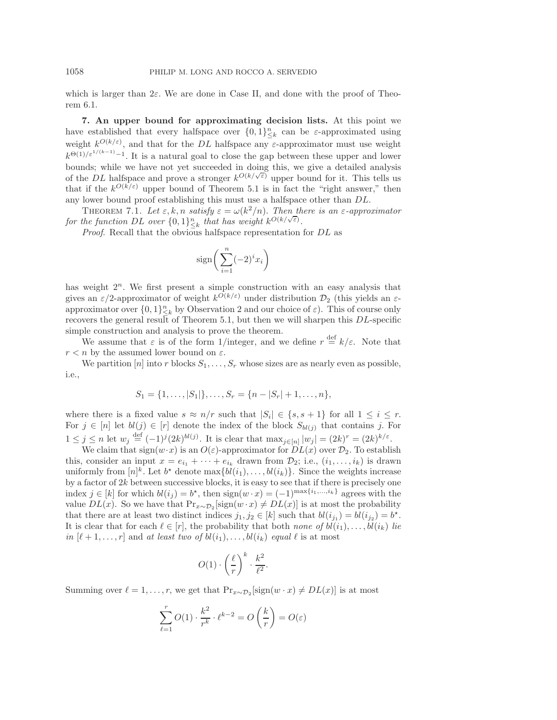which is larger than  $2\varepsilon$ . We are done in Case II, and done with the proof of Theorem [6.1.](#page-17-0)

**7. An upper bound for approximating decision lists.** At this point we have established that every halfspace over  $\{0,1\}_{\leq k}^n$  can be  $\varepsilon$ -approximated using weight  $k^{O(k/\varepsilon)}$ , and that for the DL halfspace any  $\varepsilon$ -approximator must use weight  $k^{\Theta(1)/\varepsilon^{1/(k-1)}-1}$ . It is a natural goal to close the gap between these upper and lower bounds; while we have not yet succeeded in doing this, we give a detailed analysis<br>of the DL halfspace and prove a stronger  $k^{O(k/\sqrt{\varepsilon})}$  upper bound for it. This tells us<br>that if the  $k^{O(k/\varepsilon)}$  upper bound of Theorem 5 that if the  $k^{O(k/\varepsilon)}$  upper bound of Theorem [5.1](#page-14-0) is in fact the "right answer," then any lower bound proof establishing this must use a halfspace other than DL.

<span id="page-23-0"></span>THEOREM 7.1. Let  $\varepsilon, k, n$  satisfy  $\varepsilon = \omega(k^2/n)$ . Then there is an  $\varepsilon$ -approximator *for the function* DL *over*  $\{0,1\}_{\leq k}^n$  *that has weight*  $k^{O(k/\sqrt{\varepsilon})}$ .<br>*Proof* Becall that the obvious balance representation

*Proof*. Recall that the obvious halfspace representation for DL as

$$
\operatorname{sign}\bigg(\sum_{i=1}^n (-2)^i x_i\bigg)
$$

has weight  $2<sup>n</sup>$ . We first present a simple construction with an easy analysis that gives an  $\varepsilon/2$ -approximator of weight  $k^{\overline{O}(k/\varepsilon)}$  under distribution  $\mathcal{D}_2$  (this yields an  $\varepsilon$ approximator over  $\{0,1\}_{k=k}^{n}$  by Observation [2](#page-13-1) and our choice of  $\varepsilon$ ). This of course only<br>recovers the general result of Theorem 5.1 but then we will sharpen this  $DL$ -specific recovers the general result of Theorem [5.1,](#page-14-0) but then we will sharpen this  $DL$ -specific simple construction and analysis to prove the theorem.

We assume that  $\varepsilon$  is of the form 1/integer, and we define  $r \stackrel{\text{def}}{=} k/\varepsilon$ . Note that  $r < n$  by the assumed lower bound on  $\varepsilon$ .

We partition [n] into r blocks  $S_1, \ldots, S_r$  whose sizes are as nearly even as possible, i.e.,

$$
S_1 = \{1, \ldots, |S_1|\}, \ldots, S_r = \{n - |S_r| + 1, \ldots, n\},\
$$

where there is a fixed value  $s \approx n/r$  such that  $|S_i| \in \{s, s + 1\}$  for all  $1 \leq i \leq r$ . For  $j \in [n]$  let  $bl(j) \in [r]$  denote the index of the block  $S_{bl(j)}$  that contains j. For  $1 \leq j \leq n$  let  $w_j \stackrel{\text{def}}{=} (-1)^j (2k)^{bl(j)}$ . It is clear that  $\max_{j \in [n]} |w_j| = (2k)^r = (2k)^{k/\varepsilon}$ .<br>We claim that  $\text{sign}(w, x)$  is an  $O(\varepsilon)$ -approximator for  $DL(x)$  over  $\mathcal{D}_2$ . To establi

We claim that  $sign(w \cdot x)$  is an  $O(\varepsilon)$ -approximator for  $DL(x)$  over  $\mathcal{D}_2$ . To establish this, consider an input  $x = e_{i_1} + \cdots + e_{i_k}$  drawn from  $\mathcal{D}_2$ ; i.e.,  $(i_1, \ldots, i_k)$  is drawn uniformly from  $[n]^k$ . Let  $b^*$  denote  $\max\{bl(i_1), \ldots, bl(i_k)\}\$ . Since the weights increase by a factor of  $2k$  between successive blocks, it is easy to see that if there is precisely one index  $j \in [k]$  for which  $bl(i_j) = b^*$ , then  $sign(w \cdot x) = (-1)^{\max\{i_1, \ldots, i_k\}}$  agrees with the value  $DL(x)$ . So we have that  $Pr_{x \sim \mathcal{D}_2}[\text{sign}(w \cdot x) \neq DL(x)]$  is at most the probability that there are at least two distinct indices  $j_1, j_2 \in [k]$  such that  $bl(i_{j_1}) = bl(i_{j_2}) = b^*$ . It is clear that for each  $\ell \in [r]$ , the probability that both *none of*  $bl(i_1), \ldots, bl(i_k)$  *lie in*  $[\ell+1,\ldots,r]$  and *at least two of*  $bl(i_1),\ldots,bl(i_k)$  *equal*  $\ell$  is at most

$$
O(1) \cdot \left(\frac{\ell}{r}\right)^k \cdot \frac{k^2}{\ell^2}.
$$

Summing over  $\ell = 1, \ldots, r$ , we get that  $Pr_{x \sim \mathcal{D}_2}[\text{sign}(w \cdot x) \neq DL(x)]$  is at most

$$
\sum_{\ell=1}^r O(1) \cdot \frac{k^2}{r^k} \cdot \ell^{k-2} = O\left(\frac{k}{r}\right) = O(\varepsilon)
$$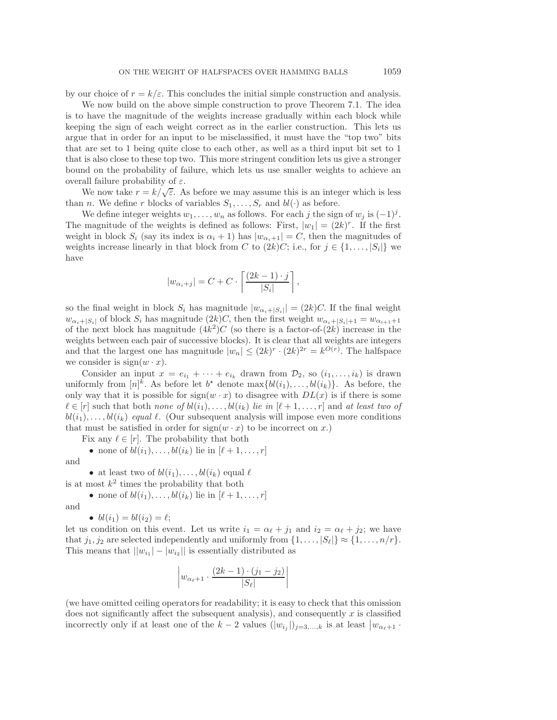by our choice of  $r = k/\varepsilon$ . This concludes the initial simple construction and analysis.

We now build on the above simple construction to prove Theorem [7.1.](#page-23-0) The idea is to have the magnitude of the weights increase gradually within each block while keeping the sign of each weight correct as in the earlier construction. This lets us argue that in order for an input to be misclassified, it must have the "top two" bits that are set to 1 being quite close to each other, as well as a third input bit set to 1 that is also close to these top two. This more stringent condition lets us give a stronger bound on the probability of failure, which lets us use smaller weights to achieve an overall failure probability of  $\varepsilon$ .

We now take  $r = k/\sqrt{\varepsilon}$ . As before we may assume this is an integer which is less than *n*. We define *r* blocks of variables  $S_1, \ldots, S_r$  and  $bl(\cdot)$  as before.

We define integer weights  $w_1, \ldots, w_n$  as follows. For each j the sign of  $w_j$  is  $(-1)^j$ . The magnitude of the weights is defined as follows: First,  $|w_1| = (2k)^r$ . If the first weight in block  $S_i$  (say its index is  $\alpha_i + 1$ ) has  $|w_{\alpha_i+1}| = C$ , then the magnitudes of weights increase linearly in that block from C to  $(2k)C$ ; i.e., for  $j \in \{1, \ldots, |S_i|\}$  we have

$$
|w_{\alpha_i+j}| = C + C \cdot \left\lceil \frac{(2k-1) \cdot j}{|S_i|} \right\rceil,
$$

so the final weight in block  $S_i$  has magnitude  $|w_{\alpha_i+|S_i|}| = (2k)C$ . If the final weight  $w_{\alpha_i+|S_i|}$  of block  $S_i$  has magnitude  $(2k)C$ , then the first weight  $w_{\alpha_i+|S_i|+1} = w_{\alpha_{i+1}+1}$ of the next block has magnitude  $(4k^2)C$  (so there is a factor-of- $(2k)$  increase in the weights between each pair of successive blocks). It is clear that all weights are integers and that the largest one has magnitude  $|w_n| \leq (2k)^r \cdot (2k)^{2r} = k^{O(r)}$ . The halfspace we consider is  $sign(w \cdot x)$ .

Consider an input  $x = e_{i_1} + \cdots + e_{i_k}$  drawn from  $\mathcal{D}_2$ , so  $(i_1, \ldots, i_k)$  is drawn uniformly from  $[n]^k$ . As before let  $b^*$  denote  $\max\{bl(i_1), \ldots, bl(i_k)\}\)$ . As before, the only way that it is possible for  $sign(w \cdot x)$  to disagree with  $DL(x)$  is if there is some  $\ell \in [r]$  such that both *none of*  $bl(i_1), \ldots, bl(i_k)$  *lie in*  $[\ell+1, \ldots, r]$  and *at least two of*  $bl(i_1), \ldots, bl(i_k)$  *equal*  $\ell$ . (Our subsequent analysis will impose even more conditions that must be satisfied in order for  $sign(w \cdot x)$  to be incorrect on x.)

Fix any  $\ell \in [r]$ . The probability that both

• none of 
$$
bl(i_1), \ldots, bl(i_k)
$$
 lie in  $[\ell+1, \ldots, r]$ 

and

• at least two of  $bl(i_1), \ldots, bl(i_k)$  equal  $\ell$ 

is at most  $k^2$  times the probability that both

• none of  $bl(i_1), \ldots, bl(i_k)$  lie in  $[\ell+1,\ldots,r]$ 

and

• 
$$
bl(i_1) = bl(i_2) = l;
$$
  
condition on this over

let us condition on this event. Let us write  $i_1 = \alpha_{\ell} + j_1$  and  $i_2 = \alpha_{\ell} + j_2$ ; we have that  $j_1, j_2$  are selected independently and uniformly from  $\{1, \ldots, |S_\ell|\} \approx \{1, \ldots, n/r\}.$ This means that  $||w_{i_1} - w_{i_2}||$  is essentially distributed as

$$
\left| w_{\alpha_{\ell}+1} \cdot \frac{(2k-1) \cdot (j_1 - j_2)}{|S_{\ell}|} \right|
$$

(we have omitted ceiling operators for readability; it is easy to check that this omission does not significantly affect the subsequent analysis), and consequently  $x$  is classified incorrectly only if at least one of the  $k-2$  values  $(|w_{i_j}|)_{j=3,\dots,k}$  is at least  $|w_{\alpha_{\ell+1}}\cdot\cdot\cdot|$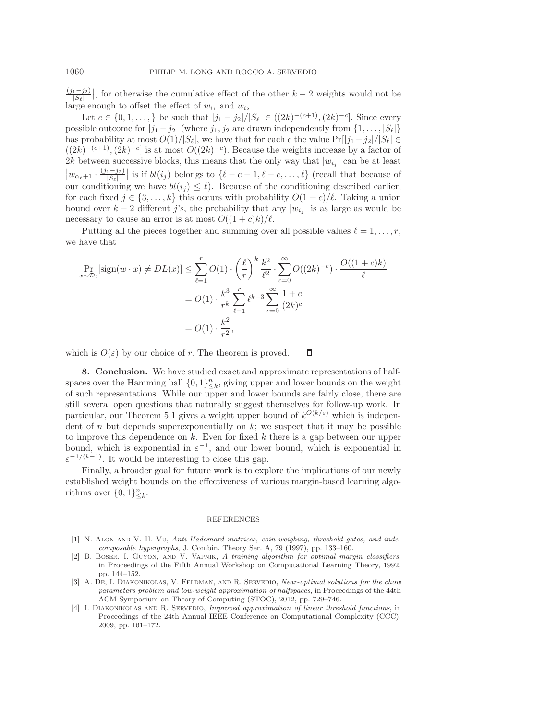$(j_1-j_2)$  $\left|\frac{S-1-32}{S}\right|$ , for otherwise the cumulative effect of the other  $k-2$  weights would not be  $\frac{S-1}{S}$ large enough to offset the effect of  $w_{i_1}$  and  $w_{i_2}$ .

Let  $c \in \{0, 1, \ldots\}$  be such that  $|j_1 - j_2|/|S_\ell| \in ((2k)^{-(c+1)}, (2k)^{-c}]$ . Since every possible outcome for  $|j_1 - j_2|$  (where  $j_1, j_2$  are drawn independently from  $\{1, \ldots, |S_\ell|\}$ has probability at most  $O(1)/|S_{\ell}|$ , we have that for each c the value  $Pr[|j_1 - j_2|/|S_{\ell}|] \in$  $((2k)^{-(c+1)},(2k)^{-c}]$  is at most  $O((2k)^{-c})$ . Because the weights increase by a factor of 2k between successive blocks, this means that the only way that  $|w_{i_j}|$  can be at least  $|w_{\alpha_{\ell+1}} \cdot \frac{(j_1-j_2)}{|S_{\ell}|}$  is if  $bl(i_j)$  belongs to  $\{\ell-c-1, \ell-c, \ldots, \ell\}$  (recall that because of our conditioning we have  $bl(i_j) \leq \ell$ ). Because of the conditioning described earlier,<br>for each fixed  $i \in \{3, \ldots, k\}$  this occurs with probability  $O(1+\epsilon)/\ell$ . Taking a union for each fixed  $j \in \{3, \ldots, k\}$  this occurs with probability  $O(1+c)/\ell$ . Taking a union bound over k – 2 different j's, the probability that any  $|w_{i,j}|$  is as large as would be necessary to cause an error is at most  $O((1+c)k)/\ell$ .

Putting all the pieces together and summing over all possible values  $\ell = 1, \ldots, r$ , we have that

$$
\Pr_{x \sim \mathcal{D}_2}[\text{sign}(w \cdot x) \neq DL(x)] \leq \sum_{\ell=1}^r O(1) \cdot \left(\frac{\ell}{r}\right)^k \frac{k^2}{\ell^2} \cdot \sum_{c=0}^\infty O((2k)^{-c}) \cdot \frac{O((1+c)k)}{\ell}
$$

$$
= O(1) \cdot \frac{k^3}{r^k} \sum_{\ell=1}^r \ell^{k-3} \sum_{c=0}^\infty \frac{1+c}{(2k)^c}
$$

$$
= O(1) \cdot \frac{k^2}{r^2},
$$

which is  $O(\varepsilon)$  by our choice of r. The theorem is proved. П

**8. Conclusion.** We have studied exact and approximate representations of halfspaces over the Hamming ball  $\{0,1\}_{-\kappa}^{n}$ , giving upper and lower bounds on the weight<br>of such representations. While our upper and lower bounds are fairly close, there are of such representations. While our upper and lower bounds are fairly close, there are still several open questions that naturally suggest themselves for follow-up work. In particular, our Theorem [5.1](#page-14-0) gives a weight upper bound of  $k^{O(k/\varepsilon)}$  which is independent of n but depends superexponentially on  $k$ ; we suspect that it may be possible to improve this dependence on  $k$ . Even for fixed  $k$  there is a gap between our upper bound, which is exponential in  $\varepsilon^{-1}$ , and our lower bound, which is exponential in  $\varepsilon^{-1/(k-1)}$ . It would be interesting to close this gap.

Finally, a broader goal for future work is to explore the implications of our newly established weight bounds on the effectiveness of various margin-based learning algorithms over  $\{0,1\}_{\leq k}^n$ .

## REFERENCES

- <span id="page-25-0"></span>[1] N. ALON AND V. H. VU, Anti-Hadamard matrices, coin weighing, threshold gates, and indecomposable hypergraphs, J. Combin. Theory Ser. A, 79 (1997), pp. 133–160.
- <span id="page-25-2"></span>[2] B. Boser, I. Guyon, and V. Vapnik, A training algorithm for optimal margin classifiers, in Proceedings of the Fifth Annual Workshop on Computational Learning Theory, 1992, pp. 144–152.
- <span id="page-25-3"></span>[3] A. DE, I. DIAKONIKOLAS, V. FELDMAN, AND R. SERVEDIO, Near-optimal solutions for the chow parameters problem and low-weight approximation of halfspaces, in Proceedings of the 44th ACM Symposium on Theory of Computing (STOC), 2012, pp. 729–746.
- <span id="page-25-1"></span>[4] I. DIAKONIKOLAS AND R. SERVEDIO, Improved approximation of linear threshold functions, in Proceedings of the 24th Annual IEEE Conference on Computational Complexity (CCC), 2009, pp. 161–172.